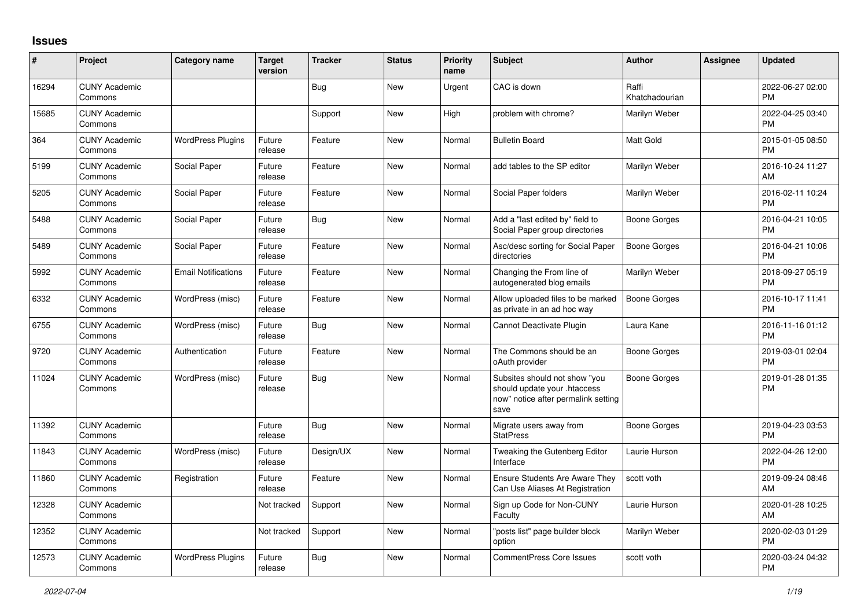## **Issues**

| #     | Project                         | <b>Category name</b>       | <b>Target</b><br>version | <b>Tracker</b> | <b>Status</b> | <b>Priority</b><br>name | <b>Subject</b>                                                                                               | <b>Author</b>           | Assignee | <b>Updated</b>                |
|-------|---------------------------------|----------------------------|--------------------------|----------------|---------------|-------------------------|--------------------------------------------------------------------------------------------------------------|-------------------------|----------|-------------------------------|
| 16294 | <b>CUNY Academic</b><br>Commons |                            |                          | Bug            | New           | Urgent                  | CAC is down                                                                                                  | Raffi<br>Khatchadourian |          | 2022-06-27 02:00<br><b>PM</b> |
| 15685 | <b>CUNY Academic</b><br>Commons |                            |                          | Support        | New           | High                    | problem with chrome?                                                                                         | Marilyn Weber           |          | 2022-04-25 03:40<br><b>PM</b> |
| 364   | <b>CUNY Academic</b><br>Commons | <b>WordPress Plugins</b>   | Future<br>release        | Feature        | <b>New</b>    | Normal                  | <b>Bulletin Board</b>                                                                                        | <b>Matt Gold</b>        |          | 2015-01-05 08:50<br><b>PM</b> |
| 5199  | <b>CUNY Academic</b><br>Commons | Social Paper               | Future<br>release        | Feature        | <b>New</b>    | Normal                  | add tables to the SP editor                                                                                  | Marilyn Weber           |          | 2016-10-24 11:27<br>AM        |
| 5205  | <b>CUNY Academic</b><br>Commons | Social Paper               | Future<br>release        | Feature        | <b>New</b>    | Normal                  | Social Paper folders                                                                                         | Marilyn Weber           |          | 2016-02-11 10:24<br><b>PM</b> |
| 5488  | <b>CUNY Academic</b><br>Commons | Social Paper               | Future<br>release        | Bug            | New           | Normal                  | Add a "last edited by" field to<br>Social Paper group directories                                            | Boone Gorges            |          | 2016-04-21 10:05<br><b>PM</b> |
| 5489  | <b>CUNY Academic</b><br>Commons | Social Paper               | Future<br>release        | Feature        | New           | Normal                  | Asc/desc sorting for Social Paper<br>directories                                                             | Boone Gorges            |          | 2016-04-21 10:06<br><b>PM</b> |
| 5992  | <b>CUNY Academic</b><br>Commons | <b>Email Notifications</b> | Future<br>release        | Feature        | <b>New</b>    | Normal                  | Changing the From line of<br>autogenerated blog emails                                                       | Marilyn Weber           |          | 2018-09-27 05:19<br><b>PM</b> |
| 6332  | <b>CUNY Academic</b><br>Commons | WordPress (misc)           | Future<br>release        | Feature        | <b>New</b>    | Normal                  | Allow uploaded files to be marked<br>as private in an ad hoc way                                             | <b>Boone Gorges</b>     |          | 2016-10-17 11:41<br><b>PM</b> |
| 6755  | <b>CUNY Academic</b><br>Commons | WordPress (misc)           | Future<br>release        | Bug            | <b>New</b>    | Normal                  | Cannot Deactivate Plugin                                                                                     | Laura Kane              |          | 2016-11-16 01:12<br><b>PM</b> |
| 9720  | <b>CUNY Academic</b><br>Commons | Authentication             | Future<br>release        | Feature        | New           | Normal                  | The Commons should be an<br>oAuth provider                                                                   | Boone Gorges            |          | 2019-03-01 02:04<br><b>PM</b> |
| 11024 | <b>CUNY Academic</b><br>Commons | WordPress (misc)           | Future<br>release        | Bug            | New           | Normal                  | Subsites should not show "you<br>should update your .htaccess<br>now" notice after permalink setting<br>save | Boone Gorges            |          | 2019-01-28 01:35<br>PM        |
| 11392 | <b>CUNY Academic</b><br>Commons |                            | Future<br>release        | <b>Bug</b>     | <b>New</b>    | Normal                  | Migrate users away from<br><b>StatPress</b>                                                                  | Boone Gorges            |          | 2019-04-23 03:53<br><b>PM</b> |
| 11843 | <b>CUNY Academic</b><br>Commons | WordPress (misc)           | Future<br>release        | Design/UX      | <b>New</b>    | Normal                  | Tweaking the Gutenberg Editor<br>Interface                                                                   | Laurie Hurson           |          | 2022-04-26 12:00<br><b>PM</b> |
| 11860 | <b>CUNY Academic</b><br>Commons | Registration               | Future<br>release        | Feature        | <b>New</b>    | Normal                  | <b>Ensure Students Are Aware They</b><br>Can Use Aliases At Registration                                     | scott voth              |          | 2019-09-24 08:46<br>AM        |
| 12328 | <b>CUNY Academic</b><br>Commons |                            | Not tracked              | Support        | New           | Normal                  | Sign up Code for Non-CUNY<br>Faculty                                                                         | Laurie Hurson           |          | 2020-01-28 10:25<br>AM        |
| 12352 | <b>CUNY Academic</b><br>Commons |                            | Not tracked              | Support        | New           | Normal                  | "posts list" page builder block<br>option                                                                    | Marilyn Weber           |          | 2020-02-03 01:29<br><b>PM</b> |
| 12573 | <b>CUNY Academic</b><br>Commons | <b>WordPress Plugins</b>   | Future<br>release        | <b>Bug</b>     | <b>New</b>    | Normal                  | CommentPress Core Issues                                                                                     | scott voth              |          | 2020-03-24 04:32<br><b>PM</b> |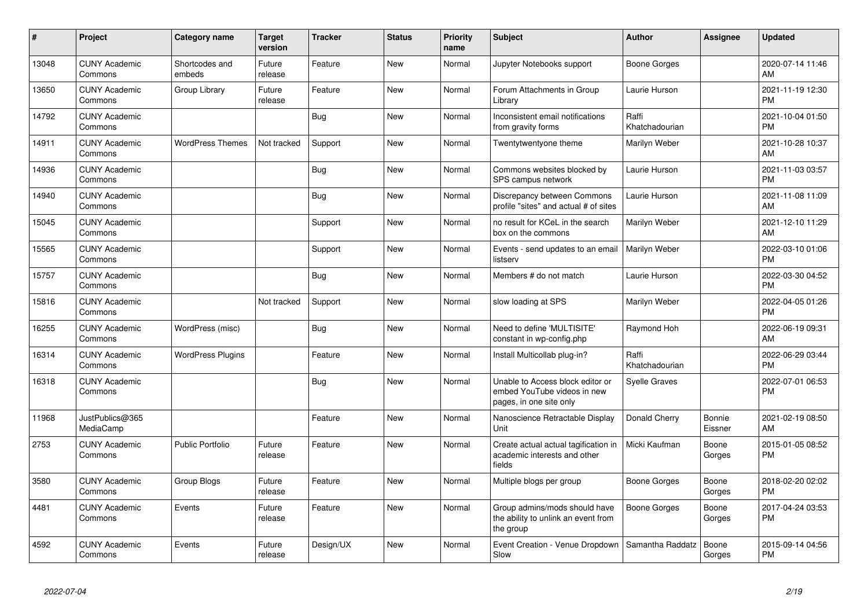| #     | Project                         | Category name            | <b>Target</b><br>version | <b>Tracker</b> | <b>Status</b> | <b>Priority</b><br>name | <b>Subject</b>                                                                             | <b>Author</b>           | <b>Assignee</b>   | <b>Updated</b>                |
|-------|---------------------------------|--------------------------|--------------------------|----------------|---------------|-------------------------|--------------------------------------------------------------------------------------------|-------------------------|-------------------|-------------------------------|
| 13048 | <b>CUNY Academic</b><br>Commons | Shortcodes and<br>embeds | Future<br>release        | Feature        | <b>New</b>    | Normal                  | Jupyter Notebooks support                                                                  | Boone Gorges            |                   | 2020-07-14 11:46<br>AM        |
| 13650 | <b>CUNY Academic</b><br>Commons | Group Library            | Future<br>release        | Feature        | <b>New</b>    | Normal                  | Forum Attachments in Group<br>Library                                                      | Laurie Hurson           |                   | 2021-11-19 12:30<br><b>PM</b> |
| 14792 | <b>CUNY Academic</b><br>Commons |                          |                          | <b>Bug</b>     | New           | Normal                  | Inconsistent email notifications<br>from gravity forms                                     | Raffi<br>Khatchadourian |                   | 2021-10-04 01:50<br><b>PM</b> |
| 14911 | <b>CUNY Academic</b><br>Commons | <b>WordPress Themes</b>  | Not tracked              | Support        | New           | Normal                  | Twentytwentyone theme                                                                      | Marilyn Weber           |                   | 2021-10-28 10:37<br>AM        |
| 14936 | <b>CUNY Academic</b><br>Commons |                          |                          | Bug            | <b>New</b>    | Normal                  | Commons websites blocked by<br>SPS campus network                                          | Laurie Hurson           |                   | 2021-11-03 03:57<br><b>PM</b> |
| 14940 | <b>CUNY Academic</b><br>Commons |                          |                          | <b>Bug</b>     | New           | Normal                  | Discrepancy between Commons<br>profile "sites" and actual # of sites                       | Laurie Hurson           |                   | 2021-11-08 11:09<br>AM        |
| 15045 | <b>CUNY Academic</b><br>Commons |                          |                          | Support        | New           | Normal                  | no result for KCeL in the search<br>box on the commons                                     | Marilyn Weber           |                   | 2021-12-10 11:29<br>AM        |
| 15565 | <b>CUNY Academic</b><br>Commons |                          |                          | Support        | New           | Normal                  | Events - send updates to an email<br>listserv                                              | Marilyn Weber           |                   | 2022-03-10 01:06<br><b>PM</b> |
| 15757 | <b>CUNY Academic</b><br>Commons |                          |                          | Bug            | New           | Normal                  | Members # do not match                                                                     | Laurie Hurson           |                   | 2022-03-30 04:52<br>PM        |
| 15816 | <b>CUNY Academic</b><br>Commons |                          | Not tracked              | Support        | New           | Normal                  | slow loading at SPS                                                                        | Marilyn Weber           |                   | 2022-04-05 01:26<br><b>PM</b> |
| 16255 | <b>CUNY Academic</b><br>Commons | WordPress (misc)         |                          | Bug            | New           | Normal                  | Need to define 'MULTISITE'<br>constant in wp-config.php                                    | Raymond Hoh             |                   | 2022-06-19 09:31<br>AM        |
| 16314 | <b>CUNY Academic</b><br>Commons | <b>WordPress Plugins</b> |                          | Feature        | New           | Normal                  | Install Multicollab plug-in?                                                               | Raffi<br>Khatchadourian |                   | 2022-06-29 03:44<br><b>PM</b> |
| 16318 | <b>CUNY Academic</b><br>Commons |                          |                          | Bug            | <b>New</b>    | Normal                  | Unable to Access block editor or<br>embed YouTube videos in new<br>pages, in one site only | <b>Syelle Graves</b>    |                   | 2022-07-01 06:53<br><b>PM</b> |
| 11968 | JustPublics@365<br>MediaCamp    |                          |                          | Feature        | New           | Normal                  | Nanoscience Retractable Display<br>Unit                                                    | Donald Cherry           | Bonnie<br>Eissner | 2021-02-19 08:50<br>AM        |
| 2753  | <b>CUNY Academic</b><br>Commons | Public Portfolio         | Future<br>release        | Feature        | New           | Normal                  | Create actual actual tagification in<br>academic interests and other<br>fields             | Micki Kaufman           | Boone<br>Gorges   | 2015-01-05 08:52<br>PM        |
| 3580  | <b>CUNY Academic</b><br>Commons | <b>Group Blogs</b>       | Future<br>release        | Feature        | <b>New</b>    | Normal                  | Multiple blogs per group                                                                   | Boone Gorges            | Boone<br>Gorges   | 2018-02-20 02:02<br><b>PM</b> |
| 4481  | <b>CUNY Academic</b><br>Commons | Events                   | Future<br>release        | Feature        | <b>New</b>    | Normal                  | Group admins/mods should have<br>the ability to unlink an event from<br>the group          | Boone Gorges            | Boone<br>Gorges   | 2017-04-24 03:53<br><b>PM</b> |
| 4592  | <b>CUNY Academic</b><br>Commons | Events                   | Future<br>release        | Design/UX      | New           | Normal                  | Event Creation - Venue Dropdown<br>Slow                                                    | Samantha Raddatz        | Boone<br>Gorges   | 2015-09-14 04:56<br><b>PM</b> |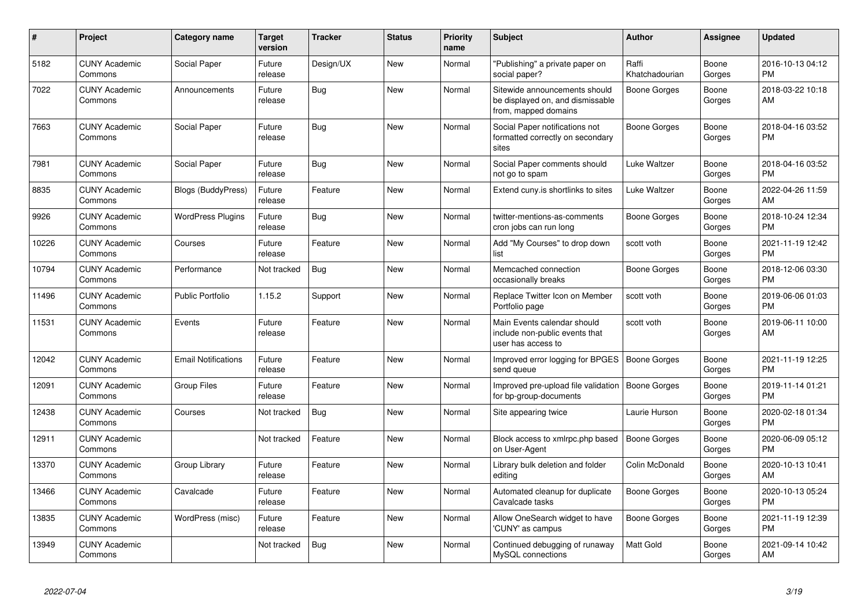| $\pmb{\#}$ | Project                         | <b>Category name</b>       | <b>Target</b><br>version | <b>Tracker</b> | <b>Status</b> | <b>Priority</b><br>name | <b>Subject</b>                                                                            | <b>Author</b>           | Assignee        | <b>Updated</b>                |
|------------|---------------------------------|----------------------------|--------------------------|----------------|---------------|-------------------------|-------------------------------------------------------------------------------------------|-------------------------|-----------------|-------------------------------|
| 5182       | <b>CUNY Academic</b><br>Commons | Social Paper               | Future<br>release        | Design/UX      | <b>New</b>    | Normal                  | "Publishing" a private paper on<br>social paper?                                          | Raffi<br>Khatchadourian | Boone<br>Gorges | 2016-10-13 04:12<br><b>PM</b> |
| 7022       | <b>CUNY Academic</b><br>Commons | Announcements              | Future<br>release        | Bug            | <b>New</b>    | Normal                  | Sitewide announcements should<br>be displayed on, and dismissable<br>from, mapped domains | Boone Gorges            | Boone<br>Gorges | 2018-03-22 10:18<br>AM        |
| 7663       | <b>CUNY Academic</b><br>Commons | Social Paper               | Future<br>release        | Bug            | New           | Normal                  | Social Paper notifications not<br>formatted correctly on secondary<br>sites               | Boone Gorges            | Boone<br>Gorges | 2018-04-16 03:52<br><b>PM</b> |
| 7981       | <b>CUNY Academic</b><br>Commons | Social Paper               | Future<br>release        | Bug            | <b>New</b>    | Normal                  | Social Paper comments should<br>not go to spam                                            | Luke Waltzer            | Boone<br>Gorges | 2018-04-16 03:52<br><b>PM</b> |
| 8835       | <b>CUNY Academic</b><br>Commons | Blogs (BuddyPress)         | Future<br>release        | Feature        | <b>New</b>    | Normal                  | Extend cuny is shortlinks to sites                                                        | Luke Waltzer            | Boone<br>Gorges | 2022-04-26 11:59<br>AM        |
| 9926       | <b>CUNY Academic</b><br>Commons | <b>WordPress Plugins</b>   | Future<br>release        | Bug            | <b>New</b>    | Normal                  | twitter-mentions-as-comments<br>cron jobs can run long                                    | Boone Gorges            | Boone<br>Gorges | 2018-10-24 12:34<br><b>PM</b> |
| 10226      | <b>CUNY Academic</b><br>Commons | Courses                    | Future<br>release        | Feature        | New           | Normal                  | Add "My Courses" to drop down<br>list                                                     | scott voth              | Boone<br>Gorges | 2021-11-19 12:42<br><b>PM</b> |
| 10794      | <b>CUNY Academic</b><br>Commons | Performance                | Not tracked              | <b>Bug</b>     | New           | Normal                  | Memcached connection<br>occasionally breaks                                               | Boone Gorges            | Boone<br>Gorges | 2018-12-06 03:30<br><b>PM</b> |
| 11496      | <b>CUNY Academic</b><br>Commons | <b>Public Portfolio</b>    | 1.15.2                   | Support        | New           | Normal                  | Replace Twitter Icon on Member<br>Portfolio page                                          | scott voth              | Boone<br>Gorges | 2019-06-06 01:03<br><b>PM</b> |
| 11531      | <b>CUNY Academic</b><br>Commons | Events                     | Future<br>release        | Feature        | <b>New</b>    | Normal                  | Main Events calendar should<br>include non-public events that<br>user has access to       | scott voth              | Boone<br>Gorges | 2019-06-11 10:00<br>AM        |
| 12042      | <b>CUNY Academic</b><br>Commons | <b>Email Notifications</b> | Future<br>release        | Feature        | New           | Normal                  | Improved error logging for BPGES<br>send queue                                            | Boone Gorges            | Boone<br>Gorges | 2021-11-19 12:25<br><b>PM</b> |
| 12091      | <b>CUNY Academic</b><br>Commons | <b>Group Files</b>         | Future<br>release        | Feature        | New           | Normal                  | Improved pre-upload file validation<br>for bp-group-documents                             | Boone Gorges            | Boone<br>Gorges | 2019-11-14 01:21<br><b>PM</b> |
| 12438      | <b>CUNY Academic</b><br>Commons | Courses                    | Not tracked              | Bug            | <b>New</b>    | Normal                  | Site appearing twice                                                                      | Laurie Hurson           | Boone<br>Gorges | 2020-02-18 01:34<br><b>PM</b> |
| 12911      | <b>CUNY Academic</b><br>Commons |                            | Not tracked              | Feature        | <b>New</b>    | Normal                  | Block access to xmlrpc.php based<br>on User-Agent                                         | <b>Boone Gorges</b>     | Boone<br>Gorges | 2020-06-09 05:12<br><b>PM</b> |
| 13370      | <b>CUNY Academic</b><br>Commons | Group Library              | Future<br>release        | Feature        | <b>New</b>    | Normal                  | Library bulk deletion and folder<br>editina                                               | Colin McDonald          | Boone<br>Gorges | 2020-10-13 10:41<br>AM        |
| 13466      | <b>CUNY Academic</b><br>Commons | Cavalcade                  | Future<br>release        | Feature        | <b>New</b>    | Normal                  | Automated cleanup for duplicate<br>Cavalcade tasks                                        | Boone Gorges            | Boone<br>Gorges | 2020-10-13 05:24<br><b>PM</b> |
| 13835      | <b>CUNY Academic</b><br>Commons | WordPress (misc)           | Future<br>release        | Feature        | New           | Normal                  | Allow OneSearch widget to have<br>'CUNY' as campus                                        | Boone Gorges            | Boone<br>Gorges | 2021-11-19 12:39<br><b>PM</b> |
| 13949      | <b>CUNY Academic</b><br>Commons |                            | Not tracked              | Bug            | New           | Normal                  | Continued debugging of runaway<br>MySQL connections                                       | <b>Matt Gold</b>        | Boone<br>Gorges | 2021-09-14 10:42<br>AM        |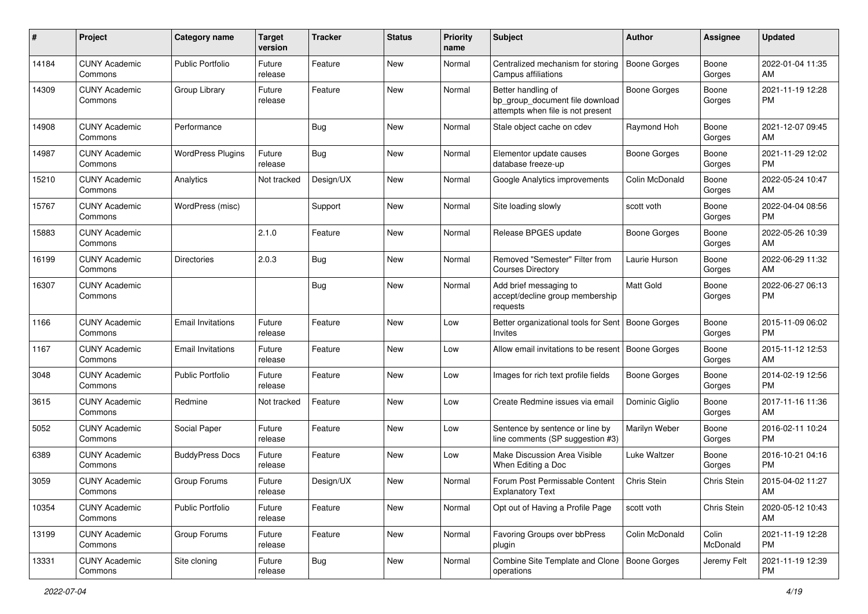| #     | Project                         | <b>Category name</b>     | <b>Target</b><br>version | <b>Tracker</b> | <b>Status</b> | <b>Priority</b><br>name | Subject                                                                                    | Author              | <b>Assignee</b>   | <b>Updated</b>                |
|-------|---------------------------------|--------------------------|--------------------------|----------------|---------------|-------------------------|--------------------------------------------------------------------------------------------|---------------------|-------------------|-------------------------------|
| 14184 | <b>CUNY Academic</b><br>Commons | <b>Public Portfolio</b>  | Future<br>release        | Feature        | New           | Normal                  | Centralized mechanism for storing<br>Campus affiliations                                   | <b>Boone Gorges</b> | Boone<br>Gorges   | 2022-01-04 11:35<br>AM        |
| 14309 | <b>CUNY Academic</b><br>Commons | Group Library            | Future<br>release        | Feature        | New           | Normal                  | Better handling of<br>bp group document file download<br>attempts when file is not present | <b>Boone Gorges</b> | Boone<br>Gorges   | 2021-11-19 12:28<br><b>PM</b> |
| 14908 | <b>CUNY Academic</b><br>Commons | Performance              |                          | <b>Bug</b>     | New           | Normal                  | Stale object cache on cdev                                                                 | Raymond Hoh         | Boone<br>Gorges   | 2021-12-07 09:45<br>AM        |
| 14987 | <b>CUNY Academic</b><br>Commons | <b>WordPress Plugins</b> | Future<br>release        | Bug            | New           | Normal                  | Elementor update causes<br>database freeze-up                                              | Boone Gorges        | Boone<br>Gorges   | 2021-11-29 12:02<br><b>PM</b> |
| 15210 | <b>CUNY Academic</b><br>Commons | Analytics                | Not tracked              | Design/UX      | New           | Normal                  | Google Analytics improvements                                                              | Colin McDonald      | Boone<br>Gorges   | 2022-05-24 10:47<br>AM        |
| 15767 | <b>CUNY Academic</b><br>Commons | WordPress (misc)         |                          | Support        | New           | Normal                  | Site loading slowly                                                                        | scott voth          | Boone<br>Gorges   | 2022-04-04 08:56<br><b>PM</b> |
| 15883 | <b>CUNY Academic</b><br>Commons |                          | 2.1.0                    | Feature        | New           | Normal                  | Release BPGES update                                                                       | Boone Gorges        | Boone<br>Gorges   | 2022-05-26 10:39<br>AM        |
| 16199 | <b>CUNY Academic</b><br>Commons | <b>Directories</b>       | 2.0.3                    | Bug            | New           | Normal                  | Removed "Semester" Filter from<br><b>Courses Directory</b>                                 | Laurie Hurson       | Boone<br>Gorges   | 2022-06-29 11:32<br>AM        |
| 16307 | <b>CUNY Academic</b><br>Commons |                          |                          | Bug            | New           | Normal                  | Add brief messaging to<br>accept/decline group membership<br>requests                      | <b>Matt Gold</b>    | Boone<br>Gorges   | 2022-06-27 06:13<br>PM.       |
| 1166  | <b>CUNY Academic</b><br>Commons | <b>Email Invitations</b> | Future<br>release        | Feature        | <b>New</b>    | Low                     | Better organizational tools for Sent<br>Invites                                            | Boone Gorges        | Boone<br>Gorges   | 2015-11-09 06:02<br>PM.       |
| 1167  | <b>CUNY Academic</b><br>Commons | <b>Email Invitations</b> | Future<br>release        | Feature        | New           | Low                     | Allow email invitations to be resent                                                       | Boone Gorges        | Boone<br>Gorges   | 2015-11-12 12:53<br>AM        |
| 3048  | <b>CUNY Academic</b><br>Commons | <b>Public Portfolio</b>  | Future<br>release        | Feature        | New           | Low                     | Images for rich text profile fields                                                        | Boone Gorges        | Boone<br>Gorges   | 2014-02-19 12:56<br><b>PM</b> |
| 3615  | <b>CUNY Academic</b><br>Commons | Redmine                  | Not tracked              | Feature        | New           | Low                     | Create Redmine issues via email                                                            | Dominic Giglio      | Boone<br>Gorges   | 2017-11-16 11:36<br>AM        |
| 5052  | <b>CUNY Academic</b><br>Commons | Social Paper             | Future<br>release        | Feature        | New           | Low                     | Sentence by sentence or line by<br>line comments (SP suggestion #3)                        | Marilyn Weber       | Boone<br>Gorges   | 2016-02-11 10:24<br><b>PM</b> |
| 6389  | <b>CUNY Academic</b><br>Commons | <b>BuddyPress Docs</b>   | Future<br>release        | Feature        | New           | Low                     | Make Discussion Area Visible<br>When Editing a Doc                                         | Luke Waltzer        | Boone<br>Gorges   | 2016-10-21 04:16<br><b>PM</b> |
| 3059  | <b>CUNY Academic</b><br>Commons | Group Forums             | Future<br>release        | Design/UX      | New           | Normal                  | Forum Post Permissable Content<br><b>Explanatory Text</b>                                  | Chris Stein         | Chris Stein       | 2015-04-02 11:27<br>AM        |
| 10354 | <b>CUNY Academic</b><br>Commons | <b>Public Portfolio</b>  | Future<br>release        | Feature        | New           | Normal                  | Opt out of Having a Profile Page                                                           | scott voth          | Chris Stein       | 2020-05-12 10:43<br>AM        |
| 13199 | <b>CUNY Academic</b><br>Commons | Group Forums             | Future<br>release        | Feature        | New           | Normal                  | Favoring Groups over bbPress<br>plugin                                                     | Colin McDonald      | Colin<br>McDonald | 2021-11-19 12:28<br><b>PM</b> |
| 13331 | <b>CUNY Academic</b><br>Commons | Site cloning             | Future<br>release        | <b>Bug</b>     | New           | Normal                  | Combine Site Template and Clone<br>operations                                              | Boone Gorges        | Jeremy Felt       | 2021-11-19 12:39<br>PM        |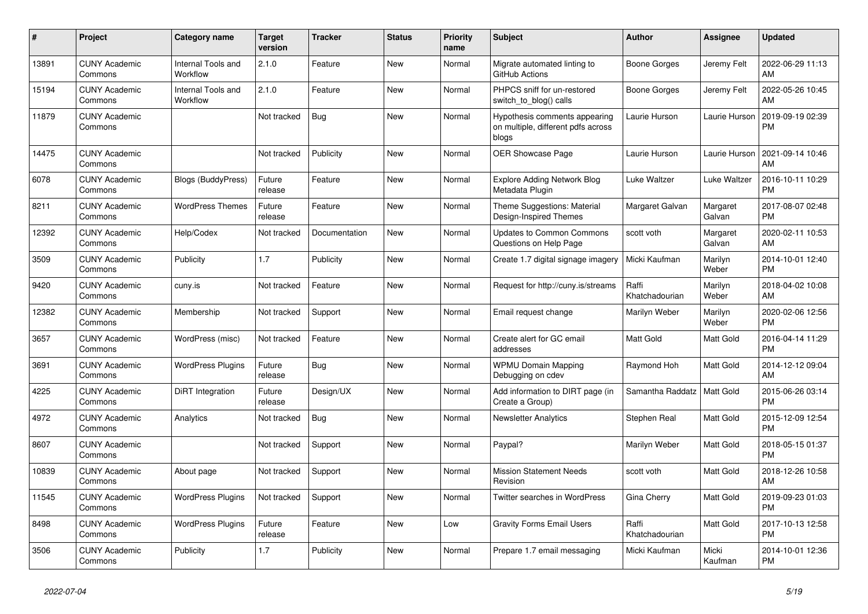| #     | <b>Project</b>                  | <b>Category name</b>           | <b>Target</b><br>version | <b>Tracker</b> | <b>Status</b> | <b>Priority</b><br>name | <b>Subject</b>                                                               | <b>Author</b>           | Assignee           | <b>Updated</b>                |
|-------|---------------------------------|--------------------------------|--------------------------|----------------|---------------|-------------------------|------------------------------------------------------------------------------|-------------------------|--------------------|-------------------------------|
| 13891 | <b>CUNY Academic</b><br>Commons | Internal Tools and<br>Workflow | 2.1.0                    | Feature        | <b>New</b>    | Normal                  | Migrate automated linting to<br>GitHub Actions                               | Boone Gorges            | Jeremy Felt        | 2022-06-29 11:13<br>AM        |
| 15194 | <b>CUNY Academic</b><br>Commons | Internal Tools and<br>Workflow | 2.1.0                    | Feature        | New           | Normal                  | PHPCS sniff for un-restored<br>switch_to_blog() calls                        | Boone Gorges            | Jeremy Felt        | 2022-05-26 10:45<br>AM        |
| 11879 | <b>CUNY Academic</b><br>Commons |                                | Not tracked              | Bug            | New           | Normal                  | Hypothesis comments appearing<br>on multiple, different pdfs across<br>blogs | Laurie Hurson           | Laurie Hurson      | 2019-09-19 02:39<br><b>PM</b> |
| 14475 | <b>CUNY Academic</b><br>Commons |                                | Not tracked              | Publicity      | <b>New</b>    | Normal                  | OER Showcase Page                                                            | Laurie Hurson           | Laurie Hurson      | 2021-09-14 10:46<br>AM        |
| 6078  | <b>CUNY Academic</b><br>Commons | <b>Blogs (BuddyPress)</b>      | Future<br>release        | Feature        | New           | Normal                  | <b>Explore Adding Network Blog</b><br>Metadata Plugin                        | Luke Waltzer            | Luke Waltzer       | 2016-10-11 10:29<br><b>PM</b> |
| 8211  | <b>CUNY Academic</b><br>Commons | <b>WordPress Themes</b>        | Future<br>release        | Feature        | New           | Normal                  | Theme Suggestions: Material<br>Design-Inspired Themes                        | Margaret Galvan         | Margaret<br>Galvan | 2017-08-07 02:48<br><b>PM</b> |
| 12392 | <b>CUNY Academic</b><br>Commons | Help/Codex                     | Not tracked              | Documentation  | <b>New</b>    | Normal                  | <b>Updates to Common Commons</b><br>Questions on Help Page                   | scott voth              | Margaret<br>Galvan | 2020-02-11 10:53<br>AM        |
| 3509  | <b>CUNY Academic</b><br>Commons | Publicity                      | 1.7                      | Publicity      | <b>New</b>    | Normal                  | Create 1.7 digital signage imagery                                           | Micki Kaufman           | Marilyn<br>Weber   | 2014-10-01 12:40<br><b>PM</b> |
| 9420  | <b>CUNY Academic</b><br>Commons | cuny.is                        | Not tracked              | Feature        | <b>New</b>    | Normal                  | Request for http://cuny.is/streams                                           | Raffi<br>Khatchadourian | Marilyn<br>Weber   | 2018-04-02 10:08<br>AM        |
| 12382 | <b>CUNY Academic</b><br>Commons | Membership                     | Not tracked              | Support        | <b>New</b>    | Normal                  | Email request change                                                         | Marilyn Weber           | Marilyn<br>Weber   | 2020-02-06 12:56<br><b>PM</b> |
| 3657  | <b>CUNY Academic</b><br>Commons | WordPress (misc)               | Not tracked              | Feature        | New           | Normal                  | Create alert for GC email<br>addresses                                       | Matt Gold               | Matt Gold          | 2016-04-14 11:29<br><b>PM</b> |
| 3691  | <b>CUNY Academic</b><br>Commons | <b>WordPress Plugins</b>       | Future<br>release        | Bug            | New           | Normal                  | <b>WPMU Domain Mapping</b><br>Debugging on cdev                              | Raymond Hoh             | Matt Gold          | 2014-12-12 09:04<br>AM        |
| 4225  | <b>CUNY Academic</b><br>Commons | DiRT Integration               | Future<br>release        | Design/UX      | <b>New</b>    | Normal                  | Add information to DIRT page (in<br>Create a Group)                          | Samantha Raddatz        | Matt Gold          | 2015-06-26 03:14<br><b>PM</b> |
| 4972  | <b>CUNY Academic</b><br>Commons | Analytics                      | Not tracked              | <b>Bug</b>     | New           | Normal                  | <b>Newsletter Analytics</b>                                                  | Stephen Real            | Matt Gold          | 2015-12-09 12:54<br><b>PM</b> |
| 8607  | <b>CUNY Academic</b><br>Commons |                                | Not tracked              | Support        | <b>New</b>    | Normal                  | Paypal?                                                                      | Marilyn Weber           | Matt Gold          | 2018-05-15 01:37<br><b>PM</b> |
| 10839 | <b>CUNY Academic</b><br>Commons | About page                     | Not tracked              | Support        | <b>New</b>    | Normal                  | <b>Mission Statement Needs</b><br>Revision                                   | scott voth              | Matt Gold          | 2018-12-26 10:58<br>AM        |
| 11545 | <b>CUNY Academic</b><br>Commons | <b>WordPress Plugins</b>       | Not tracked              | Support        | <b>New</b>    | Normal                  | <b>Twitter searches in WordPress</b>                                         | Gina Cherry             | Matt Gold          | 2019-09-23 01:03<br><b>PM</b> |
| 8498  | <b>CUNY Academic</b><br>Commons | <b>WordPress Plugins</b>       | Future<br>release        | Feature        | New           | Low                     | <b>Gravity Forms Email Users</b>                                             | Raffi<br>Khatchadourian | Matt Gold          | 2017-10-13 12:58<br><b>PM</b> |
| 3506  | <b>CUNY Academic</b><br>Commons | Publicity                      | 1.7                      | Publicity      | <b>New</b>    | Normal                  | Prepare 1.7 email messaging                                                  | Micki Kaufman           | Micki<br>Kaufman   | 2014-10-01 12:36<br><b>PM</b> |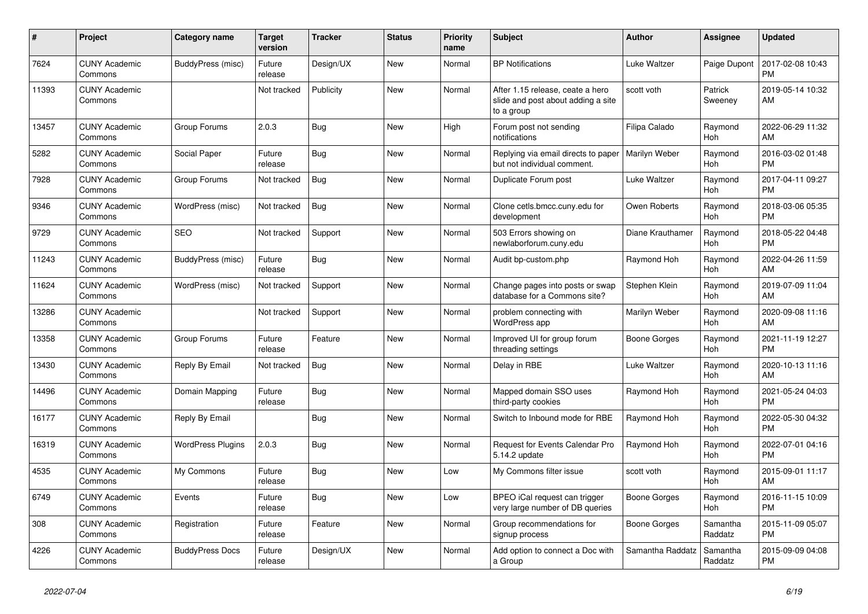| #     | <b>Project</b>                  | Category name            | <b>Target</b><br>version | <b>Tracker</b> | <b>Status</b> | <b>Priority</b><br>name | <b>Subject</b>                                                                       | <b>Author</b>    | Assignee            | <b>Updated</b>                |
|-------|---------------------------------|--------------------------|--------------------------|----------------|---------------|-------------------------|--------------------------------------------------------------------------------------|------------------|---------------------|-------------------------------|
| 7624  | <b>CUNY Academic</b><br>Commons | BuddyPress (misc)        | Future<br>release        | Design/UX      | New           | Normal                  | <b>BP</b> Notifications                                                              | Luke Waltzer     | Paige Dupont        | 2017-02-08 10:43<br><b>PM</b> |
| 11393 | <b>CUNY Academic</b><br>Commons |                          | Not tracked              | Publicity      | New           | Normal                  | After 1.15 release, ceate a hero<br>slide and post about adding a site<br>to a group | scott voth       | Patrick<br>Sweeney  | 2019-05-14 10:32<br>AM        |
| 13457 | <b>CUNY Academic</b><br>Commons | Group Forums             | 2.0.3                    | Bug            | <b>New</b>    | High                    | Forum post not sending<br>notifications                                              | Filipa Calado    | Raymond<br>Hoh      | 2022-06-29 11:32<br>AM        |
| 5282  | <b>CUNY Academic</b><br>Commons | Social Paper             | Future<br>release        | Bug            | <b>New</b>    | Normal                  | Replying via email directs to paper<br>but not individual comment.                   | Marilyn Weber    | Raymond<br>Hoh      | 2016-03-02 01:48<br><b>PM</b> |
| 7928  | <b>CUNY Academic</b><br>Commons | Group Forums             | Not tracked              | <b>Bug</b>     | New           | Normal                  | Duplicate Forum post                                                                 | Luke Waltzer     | Raymond<br>Hoh      | 2017-04-11 09:27<br><b>PM</b> |
| 9346  | <b>CUNY Academic</b><br>Commons | WordPress (misc)         | Not tracked              | Bug            | <b>New</b>    | Normal                  | Clone cetls.bmcc.cuny.edu for<br>development                                         | Owen Roberts     | Raymond<br>Hoh      | 2018-03-06 05:35<br><b>PM</b> |
| 9729  | <b>CUNY Academic</b><br>Commons | <b>SEO</b>               | Not tracked              | Support        | <b>New</b>    | Normal                  | 503 Errors showing on<br>newlaborforum.cuny.edu                                      | Diane Krauthamer | Raymond<br>Hoh      | 2018-05-22 04:48<br><b>PM</b> |
| 11243 | <b>CUNY Academic</b><br>Commons | BuddyPress (misc)        | Future<br>release        | Bug            | New           | Normal                  | Audit bp-custom.php                                                                  | Raymond Hoh      | Raymond<br>Hoh      | 2022-04-26 11:59<br>AM        |
| 11624 | <b>CUNY Academic</b><br>Commons | WordPress (misc)         | Not tracked              | Support        | New           | Normal                  | Change pages into posts or swap<br>database for a Commons site?                      | Stephen Klein    | Raymond<br>Hoh      | 2019-07-09 11:04<br>AM        |
| 13286 | <b>CUNY Academic</b><br>Commons |                          | Not tracked              | Support        | <b>New</b>    | Normal                  | problem connecting with<br>WordPress app                                             | Marilyn Weber    | Raymond<br>Hoh      | 2020-09-08 11:16<br>AM        |
| 13358 | <b>CUNY Academic</b><br>Commons | Group Forums             | Future<br>release        | Feature        | New           | Normal                  | Improved UI for group forum<br>threading settings                                    | Boone Gorges     | Raymond<br>Hoh      | 2021-11-19 12:27<br><b>PM</b> |
| 13430 | <b>CUNY Academic</b><br>Commons | Reply By Email           | Not tracked              | Bug            | New           | Normal                  | Delay in RBE                                                                         | Luke Waltzer     | Raymond<br>Hoh      | 2020-10-13 11:16<br>AM        |
| 14496 | <b>CUNY Academic</b><br>Commons | Domain Mapping           | Future<br>release        | <b>Bug</b>     | <b>New</b>    | Normal                  | Mapped domain SSO uses<br>third-party cookies                                        | Raymond Hoh      | Raymond<br>Hoh      | 2021-05-24 04:03<br><b>PM</b> |
| 16177 | <b>CUNY Academic</b><br>Commons | Reply By Email           |                          | Bug            | New           | Normal                  | Switch to Inbound mode for RBE                                                       | Raymond Hoh      | Raymond<br>Hoh      | 2022-05-30 04:32<br><b>PM</b> |
| 16319 | <b>CUNY Academic</b><br>Commons | <b>WordPress Plugins</b> | 2.0.3                    | Bug            | New           | Normal                  | Request for Events Calendar Pro<br>5.14.2 update                                     | Raymond Hoh      | Raymond<br>Hoh      | 2022-07-01 04:16<br><b>PM</b> |
| 4535  | <b>CUNY Academic</b><br>Commons | My Commons               | Future<br>release        | <b>Bug</b>     | <b>New</b>    | Low                     | My Commons filter issue                                                              | scott voth       | Raymond<br>Hoh      | 2015-09-01 11:17<br>AM        |
| 6749  | <b>CUNY Academic</b><br>Commons | Events                   | Future<br>release        | Bug            | <b>New</b>    | Low                     | BPEO iCal request can trigger<br>very large number of DB queries                     | Boone Gorges     | Raymond<br>Hoh      | 2016-11-15 10:09<br><b>PM</b> |
| 308   | <b>CUNY Academic</b><br>Commons | Registration             | Future<br>release        | Feature        | New           | Normal                  | Group recommendations for<br>signup process                                          | Boone Gorges     | Samantha<br>Raddatz | 2015-11-09 05:07<br><b>PM</b> |
| 4226  | <b>CUNY Academic</b><br>Commons | <b>BuddyPress Docs</b>   | Future<br>release        | Design/UX      | <b>New</b>    | Normal                  | Add option to connect a Doc with<br>a Group                                          | Samantha Raddatz | Samantha<br>Raddatz | 2015-09-09 04:08<br><b>PM</b> |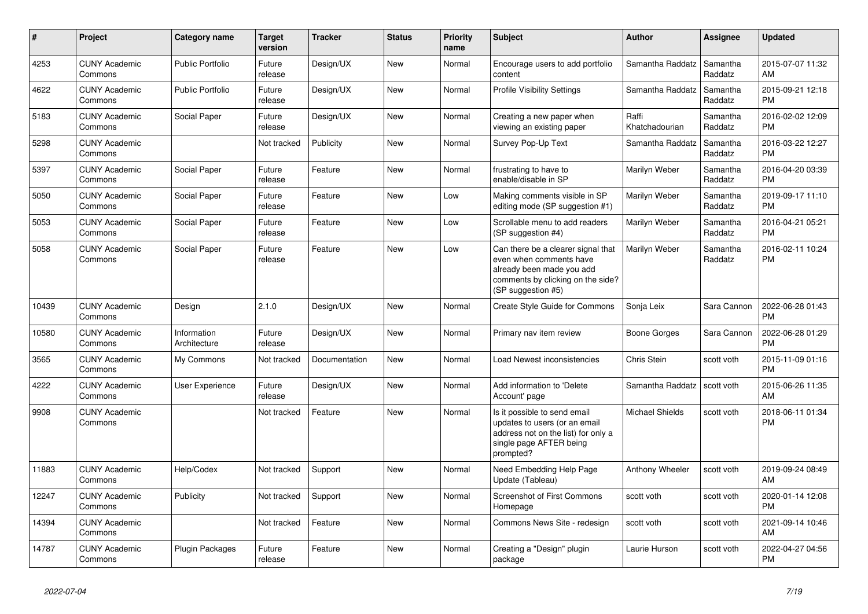| $\pmb{\sharp}$ | <b>Project</b>                  | Category name               | Target<br>version | <b>Tracker</b> | <b>Status</b> | <b>Priority</b><br>name | <b>Subject</b>                                                                                                                                        | <b>Author</b>           | Assignee            | <b>Updated</b>                |
|----------------|---------------------------------|-----------------------------|-------------------|----------------|---------------|-------------------------|-------------------------------------------------------------------------------------------------------------------------------------------------------|-------------------------|---------------------|-------------------------------|
| 4253           | <b>CUNY Academic</b><br>Commons | <b>Public Portfolio</b>     | Future<br>release | Design/UX      | <b>New</b>    | Normal                  | Encourage users to add portfolio<br>content                                                                                                           | Samantha Raddatz        | Samantha<br>Raddatz | 2015-07-07 11:32<br>AM        |
| 4622           | <b>CUNY Academic</b><br>Commons | <b>Public Portfolio</b>     | Future<br>release | Design/UX      | New           | Normal                  | <b>Profile Visibility Settings</b>                                                                                                                    | Samantha Raddatz        | Samantha<br>Raddatz | 2015-09-21 12:18<br><b>PM</b> |
| 5183           | <b>CUNY Academic</b><br>Commons | Social Paper                | Future<br>release | Design/UX      | <b>New</b>    | Normal                  | Creating a new paper when<br>viewing an existing paper                                                                                                | Raffi<br>Khatchadourian | Samantha<br>Raddatz | 2016-02-02 12:09<br><b>PM</b> |
| 5298           | <b>CUNY Academic</b><br>Commons |                             | Not tracked       | Publicity      | <b>New</b>    | Normal                  | Survey Pop-Up Text                                                                                                                                    | Samantha Raddatz        | Samantha<br>Raddatz | 2016-03-22 12:27<br><b>PM</b> |
| 5397           | <b>CUNY Academic</b><br>Commons | Social Paper                | Future<br>release | Feature        | <b>New</b>    | Normal                  | frustrating to have to<br>enable/disable in SP                                                                                                        | Marilyn Weber           | Samantha<br>Raddatz | 2016-04-20 03:39<br><b>PM</b> |
| 5050           | <b>CUNY Academic</b><br>Commons | Social Paper                | Future<br>release | Feature        | New           | Low                     | Making comments visible in SP<br>editing mode (SP suggestion #1)                                                                                      | Marilyn Weber           | Samantha<br>Raddatz | 2019-09-17 11:10<br><b>PM</b> |
| 5053           | <b>CUNY Academic</b><br>Commons | Social Paper                | Future<br>release | Feature        | New           | Low                     | Scrollable menu to add readers<br>(SP suggestion #4)                                                                                                  | Marilyn Weber           | Samantha<br>Raddatz | 2016-04-21 05:21<br><b>PM</b> |
| 5058           | <b>CUNY Academic</b><br>Commons | Social Paper                | Future<br>release | Feature        | <b>New</b>    | Low                     | Can there be a clearer signal that<br>even when comments have<br>already been made you add<br>comments by clicking on the side?<br>(SP suggestion #5) | Marilyn Weber           | Samantha<br>Raddatz | 2016-02-11 10:24<br><b>PM</b> |
| 10439          | <b>CUNY Academic</b><br>Commons | Design                      | 2.1.0             | Design/UX      | <b>New</b>    | Normal                  | Create Style Guide for Commons                                                                                                                        | Sonja Leix              | Sara Cannon         | 2022-06-28 01:43<br><b>PM</b> |
| 10580          | <b>CUNY Academic</b><br>Commons | Information<br>Architecture | Future<br>release | Design/UX      | <b>New</b>    | Normal                  | Primary nav item review                                                                                                                               | Boone Gorges            | Sara Cannon         | 2022-06-28 01:29<br>PM        |
| 3565           | <b>CUNY Academic</b><br>Commons | My Commons                  | Not tracked       | Documentation  | <b>New</b>    | Normal                  | Load Newest inconsistencies                                                                                                                           | Chris Stein             | scott voth          | 2015-11-09 01:16<br><b>PM</b> |
| 4222           | <b>CUNY Academic</b><br>Commons | User Experience             | Future<br>release | Design/UX      | New           | Normal                  | Add information to 'Delete<br>Account' page                                                                                                           | Samantha Raddatz        | scott voth          | 2015-06-26 11:35<br><b>AM</b> |
| 9908           | <b>CUNY Academic</b><br>Commons |                             | Not tracked       | Feature        | <b>New</b>    | Normal                  | Is it possible to send email<br>updates to users (or an email<br>address not on the list) for only a<br>single page AFTER being<br>prompted?          | <b>Michael Shields</b>  | scott voth          | 2018-06-11 01:34<br><b>PM</b> |
| 11883          | <b>CUNY Academic</b><br>Commons | Help/Codex                  | Not tracked       | Support        | <b>New</b>    | Normal                  | Need Embedding Help Page<br>Update (Tableau)                                                                                                          | Anthony Wheeler         | scott voth          | 2019-09-24 08:49<br>AM        |
| 12247          | <b>CUNY Academic</b><br>Commons | Publicity                   | Not tracked       | Support        | <b>New</b>    | Normal                  | <b>Screenshot of First Commons</b><br>Homepage                                                                                                        | scott voth              | scott voth          | 2020-01-14 12:08<br><b>PM</b> |
| 14394          | <b>CUNY Academic</b><br>Commons |                             | Not tracked       | Feature        | New           | Normal                  | Commons News Site - redesign                                                                                                                          | scott voth              | scott voth          | 2021-09-14 10:46<br>AM        |
| 14787          | <b>CUNY Academic</b><br>Commons | Plugin Packages             | Future<br>release | Feature        | <b>New</b>    | Normal                  | Creating a "Design" plugin<br>package                                                                                                                 | Laurie Hurson           | scott voth          | 2022-04-27 04:56<br><b>PM</b> |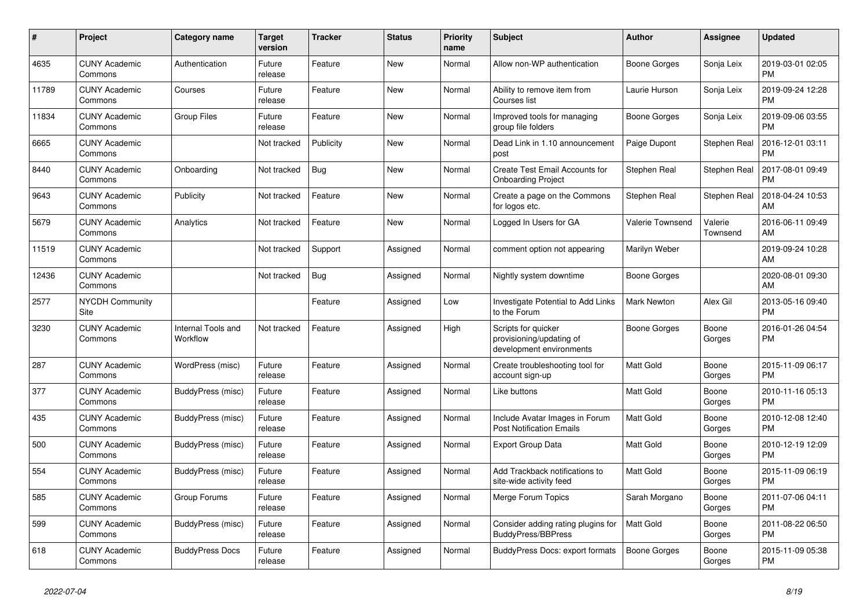| #     | <b>Project</b>                  | Category name                  | Target<br>version | <b>Tracker</b> | <b>Status</b> | <b>Priority</b><br>name | <b>Subject</b>                                                              | <b>Author</b>           | Assignee            | <b>Updated</b>                |
|-------|---------------------------------|--------------------------------|-------------------|----------------|---------------|-------------------------|-----------------------------------------------------------------------------|-------------------------|---------------------|-------------------------------|
| 4635  | <b>CUNY Academic</b><br>Commons | Authentication                 | Future<br>release | Feature        | New           | Normal                  | Allow non-WP authentication                                                 | Boone Gorges            | Sonja Leix          | 2019-03-01 02:05<br><b>PM</b> |
| 11789 | <b>CUNY Academic</b><br>Commons | Courses                        | Future<br>release | Feature        | New           | Normal                  | Ability to remove item from<br>Courses list                                 | Laurie Hurson           | Sonja Leix          | 2019-09-24 12:28<br><b>PM</b> |
| 11834 | <b>CUNY Academic</b><br>Commons | <b>Group Files</b>             | Future<br>release | Feature        | New           | Normal                  | Improved tools for managing<br>group file folders                           | Boone Gorges            | Sonja Leix          | 2019-09-06 03:55<br><b>PM</b> |
| 6665  | <b>CUNY Academic</b><br>Commons |                                | Not tracked       | Publicity      | <b>New</b>    | Normal                  | Dead Link in 1.10 announcement<br>post                                      | Paige Dupont            | Stephen Real        | 2016-12-01 03:11<br><b>PM</b> |
| 8440  | <b>CUNY Academic</b><br>Commons | Onboarding                     | Not tracked       | Bug            | New           | Normal                  | Create Test Email Accounts for<br><b>Onboarding Project</b>                 | Stephen Real            | Stephen Real        | 2017-08-01 09:49<br><b>PM</b> |
| 9643  | <b>CUNY Academic</b><br>Commons | Publicity                      | Not tracked       | Feature        | New           | Normal                  | Create a page on the Commons<br>for logos etc.                              | Stephen Real            | Stephen Real        | 2018-04-24 10:53<br>AM        |
| 5679  | <b>CUNY Academic</b><br>Commons | Analytics                      | Not tracked       | Feature        | New           | Normal                  | Logged In Users for GA                                                      | <b>Valerie Townsend</b> | Valerie<br>Townsend | 2016-06-11 09:49<br>AM        |
| 11519 | <b>CUNY Academic</b><br>Commons |                                | Not tracked       | Support        | Assigned      | Normal                  | comment option not appearing                                                | Marilyn Weber           |                     | 2019-09-24 10:28<br>AM.       |
| 12436 | <b>CUNY Academic</b><br>Commons |                                | Not tracked       | Bug            | Assigned      | Normal                  | Nightly system downtime                                                     | Boone Gorges            |                     | 2020-08-01 09:30<br>AM        |
| 2577  | <b>NYCDH Community</b><br>Site  |                                |                   | Feature        | Assigned      | Low                     | Investigate Potential to Add Links<br>to the Forum                          | Mark Newton             | Alex Gil            | 2013-05-16 09:40<br><b>PM</b> |
| 3230  | <b>CUNY Academic</b><br>Commons | Internal Tools and<br>Workflow | Not tracked       | Feature        | Assigned      | High                    | Scripts for quicker<br>provisioning/updating of<br>development environments | <b>Boone Gorges</b>     | Boone<br>Gorges     | 2016-01-26 04:54<br>PM        |
| 287   | <b>CUNY Academic</b><br>Commons | WordPress (misc)               | Future<br>release | Feature        | Assigned      | Normal                  | Create troubleshooting tool for<br>account sign-up                          | <b>Matt Gold</b>        | Boone<br>Gorges     | 2015-11-09 06:17<br><b>PM</b> |
| 377   | <b>CUNY Academic</b><br>Commons | BuddyPress (misc)              | Future<br>release | Feature        | Assigned      | Normal                  | Like buttons                                                                | <b>Matt Gold</b>        | Boone<br>Gorges     | 2010-11-16 05:13<br><b>PM</b> |
| 435   | <b>CUNY Academic</b><br>Commons | BuddyPress (misc)              | Future<br>release | Feature        | Assigned      | Normal                  | Include Avatar Images in Forum<br><b>Post Notification Emails</b>           | Matt Gold               | Boone<br>Gorges     | 2010-12-08 12:40<br><b>PM</b> |
| 500   | <b>CUNY Academic</b><br>Commons | BuddyPress (misc)              | Future<br>release | Feature        | Assigned      | Normal                  | Export Group Data                                                           | Matt Gold               | Boone<br>Gorges     | 2010-12-19 12:09<br><b>PM</b> |
| 554   | <b>CUNY Academic</b><br>Commons | BuddyPress (misc)              | Future<br>release | Feature        | Assigned      | Normal                  | Add Trackback notifications to<br>site-wide activity feed                   | Matt Gold               | Boone<br>Gorges     | 2015-11-09 06:19<br><b>PM</b> |
| 585   | <b>CUNY Academic</b><br>Commons | Group Forums                   | Future<br>release | Feature        | Assigned      | Normal                  | Merge Forum Topics                                                          | Sarah Morgano           | Boone<br>Gorges     | 2011-07-06 04:11<br><b>PM</b> |
| 599   | <b>CUNY Academic</b><br>Commons | BuddyPress (misc)              | Future<br>release | Feature        | Assigned      | Normal                  | Consider adding rating plugins for<br><b>BuddyPress/BBPress</b>             | Matt Gold               | Boone<br>Gorges     | 2011-08-22 06:50<br><b>PM</b> |
| 618   | <b>CUNY Academic</b><br>Commons | <b>BuddyPress Docs</b>         | Future<br>release | Feature        | Assigned      | Normal                  | BuddyPress Docs: export formats                                             | <b>Boone Gorges</b>     | Boone<br>Gorges     | 2015-11-09 05:38<br><b>PM</b> |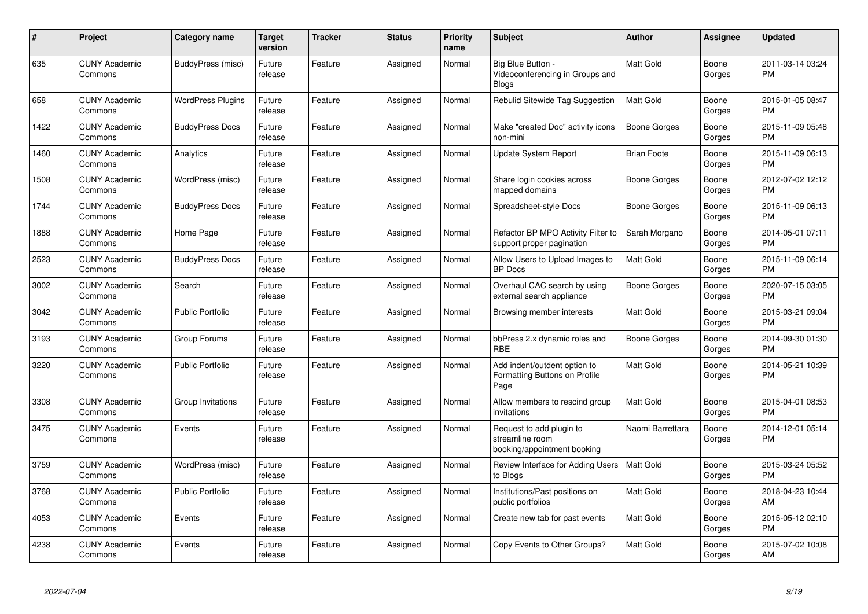| #    | Project                         | <b>Category name</b>     | <b>Target</b><br>version | <b>Tracker</b> | <b>Status</b> | <b>Priority</b><br>name | <b>Subject</b>                                                             | <b>Author</b>      | <b>Assignee</b> | <b>Updated</b>                |
|------|---------------------------------|--------------------------|--------------------------|----------------|---------------|-------------------------|----------------------------------------------------------------------------|--------------------|-----------------|-------------------------------|
| 635  | <b>CUNY Academic</b><br>Commons | BuddyPress (misc)        | Future<br>release        | Feature        | Assigned      | Normal                  | Big Blue Button -<br>Videoconferencing in Groups and<br><b>Blogs</b>       | <b>Matt Gold</b>   | Boone<br>Gorges | 2011-03-14 03:24<br><b>PM</b> |
| 658  | <b>CUNY Academic</b><br>Commons | <b>WordPress Plugins</b> | Future<br>release        | Feature        | Assigned      | Normal                  | Rebulid Sitewide Tag Suggestion                                            | <b>Matt Gold</b>   | Boone<br>Gorges | 2015-01-05 08:47<br><b>PM</b> |
| 1422 | <b>CUNY Academic</b><br>Commons | <b>BuddyPress Docs</b>   | Future<br>release        | Feature        | Assigned      | Normal                  | Make "created Doc" activity icons<br>non-mini                              | Boone Gorges       | Boone<br>Gorges | 2015-11-09 05:48<br><b>PM</b> |
| 1460 | <b>CUNY Academic</b><br>Commons | Analytics                | Future<br>release        | Feature        | Assigned      | Normal                  | Update System Report                                                       | <b>Brian Foote</b> | Boone<br>Gorges | 2015-11-09 06:13<br><b>PM</b> |
| 1508 | <b>CUNY Academic</b><br>Commons | WordPress (misc)         | Future<br>release        | Feature        | Assigned      | Normal                  | Share login cookies across<br>mapped domains                               | Boone Gorges       | Boone<br>Gorges | 2012-07-02 12:12<br><b>PM</b> |
| 1744 | <b>CUNY Academic</b><br>Commons | <b>BuddyPress Docs</b>   | Future<br>release        | Feature        | Assigned      | Normal                  | Spreadsheet-style Docs                                                     | Boone Gorges       | Boone<br>Gorges | 2015-11-09 06:13<br><b>PM</b> |
| 1888 | <b>CUNY Academic</b><br>Commons | Home Page                | Future<br>release        | Feature        | Assigned      | Normal                  | Refactor BP MPO Activity Filter to<br>support proper pagination            | Sarah Morgano      | Boone<br>Gorges | 2014-05-01 07:11<br><b>PM</b> |
| 2523 | <b>CUNY Academic</b><br>Commons | <b>BuddyPress Docs</b>   | Future<br>release        | Feature        | Assigned      | Normal                  | Allow Users to Upload Images to<br><b>BP</b> Docs                          | <b>Matt Gold</b>   | Boone<br>Gorges | 2015-11-09 06:14<br><b>PM</b> |
| 3002 | <b>CUNY Academic</b><br>Commons | Search                   | Future<br>release        | Feature        | Assigned      | Normal                  | Overhaul CAC search by using<br>external search appliance                  | Boone Gorges       | Boone<br>Gorges | 2020-07-15 03:05<br><b>PM</b> |
| 3042 | <b>CUNY Academic</b><br>Commons | <b>Public Portfolio</b>  | Future<br>release        | Feature        | Assigned      | Normal                  | Browsing member interests                                                  | Matt Gold          | Boone<br>Gorges | 2015-03-21 09:04<br><b>PM</b> |
| 3193 | <b>CUNY Academic</b><br>Commons | Group Forums             | Future<br>release        | Feature        | Assigned      | Normal                  | bbPress 2.x dynamic roles and<br><b>RBE</b>                                | Boone Gorges       | Boone<br>Gorges | 2014-09-30 01:30<br><b>PM</b> |
| 3220 | <b>CUNY Academic</b><br>Commons | <b>Public Portfolio</b>  | Future<br>release        | Feature        | Assigned      | Normal                  | Add indent/outdent option to<br>Formatting Buttons on Profile<br>Page      | <b>Matt Gold</b>   | Boone<br>Gorges | 2014-05-21 10:39<br><b>PM</b> |
| 3308 | <b>CUNY Academic</b><br>Commons | Group Invitations        | Future<br>release        | Feature        | Assigned      | Normal                  | Allow members to rescind group<br>invitations                              | <b>Matt Gold</b>   | Boone<br>Gorges | 2015-04-01 08:53<br><b>PM</b> |
| 3475 | <b>CUNY Academic</b><br>Commons | Events                   | Future<br>release        | Feature        | Assigned      | Normal                  | Request to add plugin to<br>streamline room<br>booking/appointment booking | Naomi Barrettara   | Boone<br>Gorges | 2014-12-01 05:14<br><b>PM</b> |
| 3759 | <b>CUNY Academic</b><br>Commons | WordPress (misc)         | Future<br>release        | Feature        | Assigned      | Normal                  | Review Interface for Adding Users<br>to Blogs                              | <b>Matt Gold</b>   | Boone<br>Gorges | 2015-03-24 05:52<br><b>PM</b> |
| 3768 | <b>CUNY Academic</b><br>Commons | <b>Public Portfolio</b>  | Future<br>release        | Feature        | Assigned      | Normal                  | Institutions/Past positions on<br>public portfolios                        | <b>Matt Gold</b>   | Boone<br>Gorges | 2018-04-23 10:44<br>AM        |
| 4053 | <b>CUNY Academic</b><br>Commons | Events                   | Future<br>release        | Feature        | Assigned      | Normal                  | Create new tab for past events                                             | <b>Matt Gold</b>   | Boone<br>Gorges | 2015-05-12 02:10<br><b>PM</b> |
| 4238 | <b>CUNY Academic</b><br>Commons | Events                   | Future<br>release        | Feature        | Assigned      | Normal                  | Copy Events to Other Groups?                                               | <b>Matt Gold</b>   | Boone<br>Gorges | 2015-07-02 10:08<br>AM        |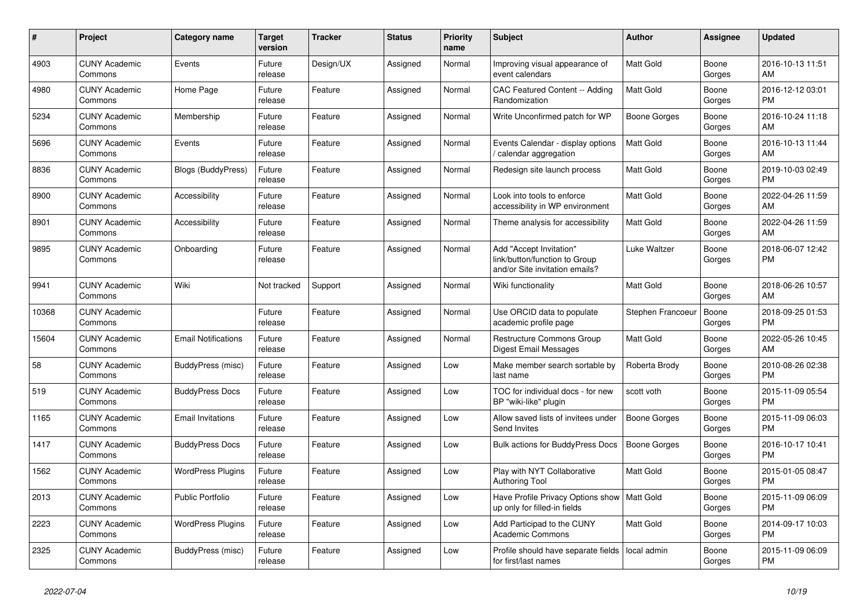| #     | <b>Project</b>                  | Category name              | Target<br>version | <b>Tracker</b> | <b>Status</b> | <b>Priority</b><br>name | <b>Subject</b>                                                                             | <b>Author</b>    | Assignee        | <b>Updated</b>                |
|-------|---------------------------------|----------------------------|-------------------|----------------|---------------|-------------------------|--------------------------------------------------------------------------------------------|------------------|-----------------|-------------------------------|
| 4903  | <b>CUNY Academic</b><br>Commons | Events                     | Future<br>release | Design/UX      | Assigned      | Normal                  | Improving visual appearance of<br>event calendars                                          | Matt Gold        | Boone<br>Gorges | 2016-10-13 11:51<br>AM        |
| 4980  | <b>CUNY Academic</b><br>Commons | Home Page                  | Future<br>release | Feature        | Assigned      | Normal                  | <b>CAC Featured Content -- Adding</b><br>Randomization                                     | Matt Gold        | Boone<br>Gorges | 2016-12-12 03:01<br>PM.       |
| 5234  | <b>CUNY Academic</b><br>Commons | Membership                 | Future<br>release | Feature        | Assigned      | Normal                  | Write Unconfirmed patch for WP                                                             | Boone Gorges     | Boone<br>Gorges | 2016-10-24 11:18<br><b>AM</b> |
| 5696  | <b>CUNY Academic</b><br>Commons | Events                     | Future<br>release | Feature        | Assigned      | Normal                  | Events Calendar - display options<br>calendar aggregation                                  | Matt Gold        | Boone<br>Gorges | 2016-10-13 11:44<br><b>AM</b> |
| 8836  | <b>CUNY Academic</b><br>Commons | <b>Blogs (BuddyPress)</b>  | Future<br>release | Feature        | Assigned      | Normal                  | Redesign site launch process                                                               | <b>Matt Gold</b> | Boone<br>Gorges | 2019-10-03 02:49<br><b>PM</b> |
| 8900  | <b>CUNY Academic</b><br>Commons | Accessibility              | Future<br>release | Feature        | Assigned      | Normal                  | Look into tools to enforce<br>accessibility in WP environment                              | Matt Gold        | Boone<br>Gorges | 2022-04-26 11:59<br><b>AM</b> |
| 8901  | <b>CUNY Academic</b><br>Commons | Accessibility              | Future<br>release | Feature        | Assigned      | Normal                  | Theme analysis for accessibility                                                           | <b>Matt Gold</b> | Boone<br>Gorges | 2022-04-26 11:59<br>AM        |
| 9895  | <b>CUNY Academic</b><br>Commons | Onboarding                 | Future<br>release | Feature        | Assigned      | Normal                  | Add "Accept Invitation"<br>link/button/function to Group<br>and/or Site invitation emails? | Luke Waltzer     | Boone<br>Gorges | 2018-06-07 12:42<br>PM        |
| 9941  | <b>CUNY Academic</b><br>Commons | Wiki                       | Not tracked       | Support        | Assigned      | Normal                  | Wiki functionality                                                                         | Matt Gold        | Boone<br>Gorges | 2018-06-26 10:57<br>AM.       |
| 10368 | <b>CUNY Academic</b><br>Commons |                            | Future<br>release | Feature        | Assigned      | Normal                  | Use ORCID data to populate<br>academic profile page                                        | Stephen Francoeu | Boone<br>Gorges | 2018-09-25 01:53<br><b>PM</b> |
| 15604 | <b>CUNY Academic</b><br>Commons | <b>Email Notifications</b> | Future<br>release | Feature        | Assigned      | Normal                  | Restructure Commons Group<br><b>Digest Email Messages</b>                                  | Matt Gold        | Boone<br>Gorges | 2022-05-26 10:45<br>AM        |
| 58    | <b>CUNY Academic</b><br>Commons | BuddyPress (misc)          | Future<br>release | Feature        | Assigned      | Low                     | Make member search sortable by<br>last name                                                | Roberta Brody    | Boone<br>Gorges | 2010-08-26 02:38<br><b>PM</b> |
| 519   | <b>CUNY Academic</b><br>Commons | <b>BuddyPress Docs</b>     | Future<br>release | Feature        | Assigned      | Low                     | TOC for individual docs - for new<br>BP "wiki-like" plugin                                 | scott voth       | Boone<br>Gorges | 2015-11-09 05:54<br><b>PM</b> |
| 1165  | <b>CUNY Academic</b><br>Commons | <b>Email Invitations</b>   | Future<br>release | Feature        | Assigned      | Low                     | Allow saved lists of invitees under<br>Send Invites                                        | Boone Gorges     | Boone<br>Gorges | 2015-11-09 06:03<br><b>PM</b> |
| 1417  | <b>CUNY Academic</b><br>Commons | <b>BuddyPress Docs</b>     | Future<br>release | Feature        | Assigned      | Low                     | Bulk actions for BuddyPress Docs                                                           | Boone Gorges     | Boone<br>Gorges | 2016-10-17 10:41<br><b>PM</b> |
| 1562  | <b>CUNY Academic</b><br>Commons | <b>WordPress Plugins</b>   | Future<br>release | Feature        | Assigned      | Low                     | Play with NYT Collaborative<br>Authoring Tool                                              | Matt Gold        | Boone<br>Gorges | 2015-01-05 08:47<br><b>PM</b> |
| 2013  | <b>CUNY Academic</b><br>Commons | <b>Public Portfolio</b>    | Future<br>release | Feature        | Assigned      | Low                     | Have Profile Privacy Options show   Matt Gold<br>up only for filled-in fields              |                  | Boone<br>Gorges | 2015-11-09 06:09<br><b>PM</b> |
| 2223  | <b>CUNY Academic</b><br>Commons | <b>WordPress Plugins</b>   | Future<br>release | Feature        | Assigned      | Low                     | Add Participad to the CUNY<br><b>Academic Commons</b>                                      | Matt Gold        | Boone<br>Gorges | 2014-09-17 10:03<br><b>PM</b> |
| 2325  | <b>CUNY Academic</b><br>Commons | BuddyPress (misc)          | Future<br>release | Feature        | Assigned      | Low                     | Profile should have separate fields<br>for first/last names                                | local admin      | Boone<br>Gorges | 2015-11-09 06:09<br><b>PM</b> |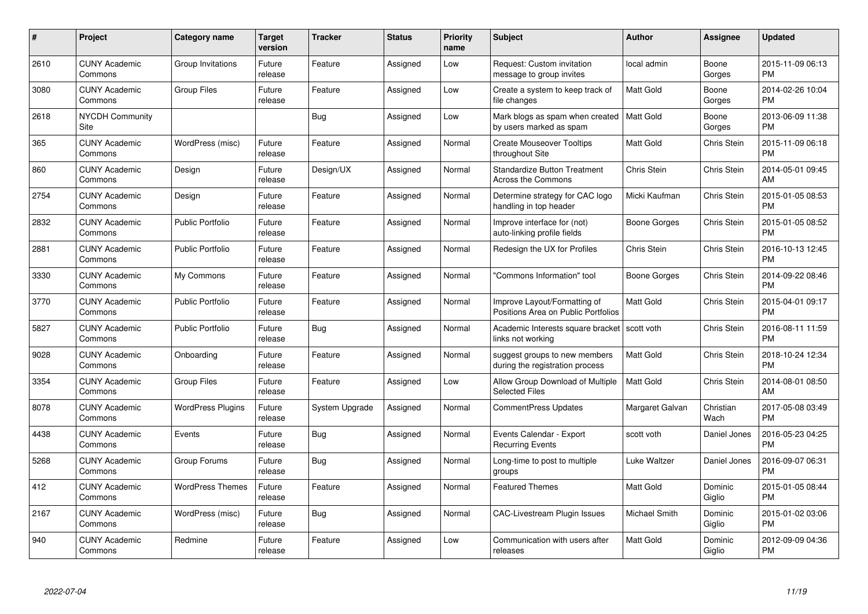| #    | <b>Project</b>                  | Category name            | <b>Target</b><br>version | <b>Tracker</b> | <b>Status</b> | <b>Priority</b><br>name | <b>Subject</b>                                                      | <b>Author</b>    | Assignee           | <b>Updated</b>                |
|------|---------------------------------|--------------------------|--------------------------|----------------|---------------|-------------------------|---------------------------------------------------------------------|------------------|--------------------|-------------------------------|
| 2610 | <b>CUNY Academic</b><br>Commons | Group Invitations        | Future<br>release        | Feature        | Assigned      | Low                     | Request: Custom invitation<br>message to group invites              | local admin      | Boone<br>Gorges    | 2015-11-09 06:13<br><b>PM</b> |
| 3080 | <b>CUNY Academic</b><br>Commons | <b>Group Files</b>       | Future<br>release        | Feature        | Assigned      | Low                     | Create a system to keep track of<br>file changes                    | <b>Matt Gold</b> | Boone<br>Gorges    | 2014-02-26 10:04<br><b>PM</b> |
| 2618 | <b>NYCDH Community</b><br>Site  |                          |                          | Bug            | Assigned      | Low                     | Mark blogs as spam when created<br>by users marked as spam          | <b>Matt Gold</b> | Boone<br>Gorges    | 2013-06-09 11:38<br><b>PM</b> |
| 365  | <b>CUNY Academic</b><br>Commons | WordPress (misc)         | Future<br>release        | Feature        | Assigned      | Normal                  | <b>Create Mouseover Tooltips</b><br>throughout Site                 | Matt Gold        | Chris Stein        | 2015-11-09 06:18<br><b>PM</b> |
| 860  | <b>CUNY Academic</b><br>Commons | Design                   | Future<br>release        | Design/UX      | Assigned      | Normal                  | <b>Standardize Button Treatment</b><br><b>Across the Commons</b>    | Chris Stein      | Chris Stein        | 2014-05-01 09:45<br>AM        |
| 2754 | <b>CUNY Academic</b><br>Commons | Design                   | Future<br>release        | Feature        | Assigned      | Normal                  | Determine strategy for CAC logo<br>handling in top header           | Micki Kaufman    | Chris Stein        | 2015-01-05 08:53<br><b>PM</b> |
| 2832 | <b>CUNY Academic</b><br>Commons | <b>Public Portfolio</b>  | Future<br>release        | Feature        | Assigned      | Normal                  | Improve interface for (not)<br>auto-linking profile fields          | Boone Gorges     | <b>Chris Stein</b> | 2015-01-05 08:52<br><b>PM</b> |
| 2881 | <b>CUNY Academic</b><br>Commons | <b>Public Portfolio</b>  | Future<br>release        | Feature        | Assigned      | Normal                  | Redesign the UX for Profiles                                        | Chris Stein      | <b>Chris Stein</b> | 2016-10-13 12:45<br><b>PM</b> |
| 3330 | <b>CUNY Academic</b><br>Commons | My Commons               | Future<br>release        | Feature        | Assigned      | Normal                  | "Commons Information" tool                                          | Boone Gorges     | Chris Stein        | 2014-09-22 08:46<br><b>PM</b> |
| 3770 | <b>CUNY Academic</b><br>Commons | Public Portfolio         | Future<br>release        | Feature        | Assigned      | Normal                  | Improve Layout/Formatting of<br>Positions Area on Public Portfolios | <b>Matt Gold</b> | Chris Stein        | 2015-04-01 09:17<br><b>PM</b> |
| 5827 | <b>CUNY Academic</b><br>Commons | <b>Public Portfolio</b>  | Future<br>release        | Bug            | Assigned      | Normal                  | Academic Interests square bracket<br>links not working              | scott voth       | Chris Stein        | 2016-08-11 11:59<br><b>PM</b> |
| 9028 | <b>CUNY Academic</b><br>Commons | Onboarding               | Future<br>release        | Feature        | Assigned      | Normal                  | suggest groups to new members<br>during the registration process    | <b>Matt Gold</b> | Chris Stein        | 2018-10-24 12:34<br><b>PM</b> |
| 3354 | <b>CUNY Academic</b><br>Commons | <b>Group Files</b>       | Future<br>release        | Feature        | Assigned      | Low                     | Allow Group Download of Multiple<br><b>Selected Files</b>           | <b>Matt Gold</b> | Chris Stein        | 2014-08-01 08:50<br>AM        |
| 8078 | <b>CUNY Academic</b><br>Commons | <b>WordPress Plugins</b> | Future<br>release        | System Upgrade | Assigned      | Normal                  | <b>CommentPress Updates</b>                                         | Margaret Galvan  | Christian<br>Wach  | 2017-05-08 03:49<br><b>PM</b> |
| 4438 | <b>CUNY Academic</b><br>Commons | Events                   | Future<br>release        | Bug            | Assigned      | Normal                  | Events Calendar - Export<br><b>Recurring Events</b>                 | scott voth       | Daniel Jones       | 2016-05-23 04:25<br><b>PM</b> |
| 5268 | <b>CUNY Academic</b><br>Commons | Group Forums             | Future<br>release        | Bug            | Assigned      | Normal                  | Long-time to post to multiple<br>groups                             | Luke Waltzer     | Daniel Jones       | 2016-09-07 06:31<br><b>PM</b> |
| 412  | <b>CUNY Academic</b><br>Commons | <b>WordPress Themes</b>  | Future<br>release        | Feature        | Assigned      | Normal                  | <b>Featured Themes</b>                                              | <b>Matt Gold</b> | Dominic<br>Giglio  | 2015-01-05 08:44<br><b>PM</b> |
| 2167 | <b>CUNY Academic</b><br>Commons | WordPress (misc)         | Future<br>release        | Bug            | Assigned      | Normal                  | <b>CAC-Livestream Plugin Issues</b>                                 | Michael Smith    | Dominic<br>Giglio  | 2015-01-02 03:06<br><b>PM</b> |
| 940  | <b>CUNY Academic</b><br>Commons | Redmine                  | Future<br>release        | Feature        | Assigned      | Low                     | Communication with users after<br>releases                          | <b>Matt Gold</b> | Dominic<br>Giglio  | 2012-09-09 04:36<br><b>PM</b> |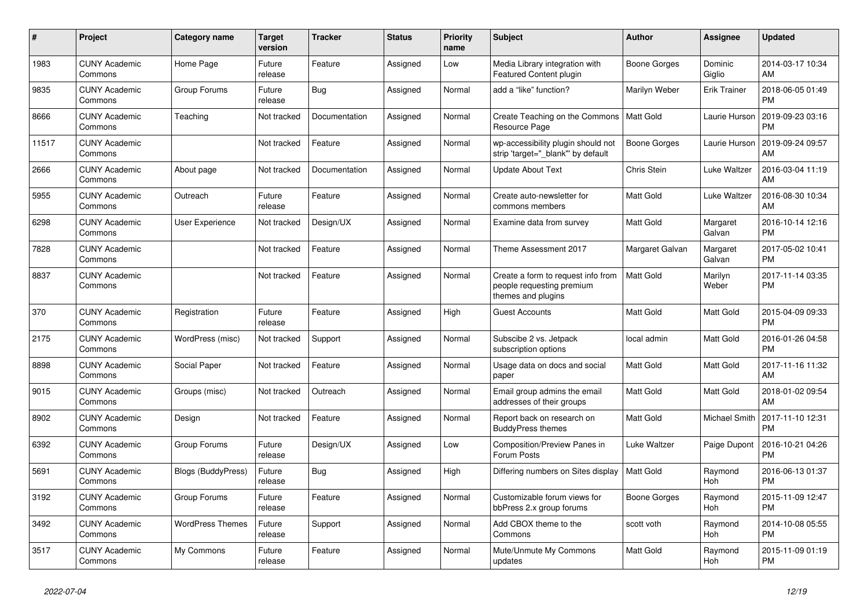| #     | <b>Project</b>                  | Category name             | <b>Target</b><br>version | <b>Tracker</b> | <b>Status</b> | <b>Priority</b><br>name | <b>Subject</b>                                                                        | <b>Author</b>    | Assignee            | <b>Updated</b>                |
|-------|---------------------------------|---------------------------|--------------------------|----------------|---------------|-------------------------|---------------------------------------------------------------------------------------|------------------|---------------------|-------------------------------|
| 1983  | <b>CUNY Academic</b><br>Commons | Home Page                 | Future<br>release        | Feature        | Assigned      | Low                     | Media Library integration with<br><b>Featured Content plugin</b>                      | Boone Gorges     | Dominic<br>Giglio   | 2014-03-17 10:34<br>AM        |
| 9835  | <b>CUNY Academic</b><br>Commons | Group Forums              | Future<br>release        | Bug            | Assigned      | Normal                  | add a "like" function?                                                                | Marilyn Weber    | <b>Erik Trainer</b> | 2018-06-05 01:49<br><b>PM</b> |
| 8666  | <b>CUNY Academic</b><br>Commons | Teaching                  | Not tracked              | Documentation  | Assigned      | Normal                  | Create Teaching on the Commons<br>Resource Page                                       | Matt Gold        | Laurie Hurson       | 2019-09-23 03:16<br><b>PM</b> |
| 11517 | <b>CUNY Academic</b><br>Commons |                           | Not tracked              | Feature        | Assigned      | Normal                  | wp-accessibility plugin should not<br>strip 'target="_blank"' by default              | Boone Gorges     | Laurie Hurson       | 2019-09-24 09:57<br>AM        |
| 2666  | <b>CUNY Academic</b><br>Commons | About page                | Not tracked              | Documentation  | Assigned      | Normal                  | <b>Update About Text</b>                                                              | Chris Stein      | Luke Waltzer        | 2016-03-04 11:19<br>AM        |
| 5955  | <b>CUNY Academic</b><br>Commons | Outreach                  | Future<br>release        | Feature        | Assigned      | Normal                  | Create auto-newsletter for<br>commons members                                         | Matt Gold        | Luke Waltzer        | 2016-08-30 10:34<br>AM        |
| 6298  | <b>CUNY Academic</b><br>Commons | <b>User Experience</b>    | Not tracked              | Design/UX      | Assigned      | Normal                  | Examine data from survey                                                              | <b>Matt Gold</b> | Margaret<br>Galvan  | 2016-10-14 12:16<br><b>PM</b> |
| 7828  | <b>CUNY Academic</b><br>Commons |                           | Not tracked              | Feature        | Assigned      | Normal                  | Theme Assessment 2017                                                                 | Margaret Galvan  | Margaret<br>Galvan  | 2017-05-02 10:41<br><b>PM</b> |
| 8837  | <b>CUNY Academic</b><br>Commons |                           | Not tracked              | Feature        | Assigned      | Normal                  | Create a form to request info from<br>people requesting premium<br>themes and plugins | Matt Gold        | Marilyn<br>Weber    | 2017-11-14 03:35<br><b>PM</b> |
| 370   | <b>CUNY Academic</b><br>Commons | Registration              | Future<br>release        | Feature        | Assigned      | High                    | <b>Guest Accounts</b>                                                                 | <b>Matt Gold</b> | Matt Gold           | 2015-04-09 09:33<br><b>PM</b> |
| 2175  | <b>CUNY Academic</b><br>Commons | WordPress (misc)          | Not tracked              | Support        | Assigned      | Normal                  | Subscibe 2 vs. Jetpack<br>subscription options                                        | local admin      | Matt Gold           | 2016-01-26 04:58<br><b>PM</b> |
| 8898  | <b>CUNY Academic</b><br>Commons | Social Paper              | Not tracked              | Feature        | Assigned      | Normal                  | Usage data on docs and social<br>paper                                                | Matt Gold        | Matt Gold           | 2017-11-16 11:32<br>AM        |
| 9015  | <b>CUNY Academic</b><br>Commons | Groups (misc)             | Not tracked              | Outreach       | Assigned      | Normal                  | Email group admins the email<br>addresses of their groups                             | <b>Matt Gold</b> | Matt Gold           | 2018-01-02 09:54<br>AM        |
| 8902  | <b>CUNY Academic</b><br>Commons | Design                    | Not tracked              | Feature        | Assigned      | Normal                  | Report back on research on<br><b>BuddyPress themes</b>                                | Matt Gold        | Michael Smith       | 2017-11-10 12:31<br><b>PM</b> |
| 6392  | <b>CUNY Academic</b><br>Commons | Group Forums              | Future<br>release        | Design/UX      | Assigned      | Low                     | Composition/Preview Panes in<br>Forum Posts                                           | Luke Waltzer     | Paige Dupont        | 2016-10-21 04:26<br><b>PM</b> |
| 5691  | <b>CUNY Academic</b><br>Commons | <b>Blogs (BuddyPress)</b> | Future<br>release        | Bug            | Assigned      | High                    | Differing numbers on Sites display                                                    | <b>Matt Gold</b> | Raymond<br>Hoh      | 2016-06-13 01:37<br><b>PM</b> |
| 3192  | <b>CUNY Academic</b><br>Commons | Group Forums              | Future<br>release        | Feature        | Assigned      | Normal                  | Customizable forum views for<br>bbPress 2.x group forums                              | Boone Gorges     | Raymond<br>Hoh      | 2015-11-09 12:47<br><b>PM</b> |
| 3492  | <b>CUNY Academic</b><br>Commons | <b>WordPress Themes</b>   | Future<br>release        | Support        | Assigned      | Normal                  | Add CBOX theme to the<br>Commons                                                      | scott voth       | Raymond<br>Hoh      | 2014-10-08 05:55<br><b>PM</b> |
| 3517  | <b>CUNY Academic</b><br>Commons | My Commons                | Future<br>release        | Feature        | Assigned      | Normal                  | Mute/Unmute My Commons<br>updates                                                     | Matt Gold        | Raymond<br>Hoh      | 2015-11-09 01:19<br><b>PM</b> |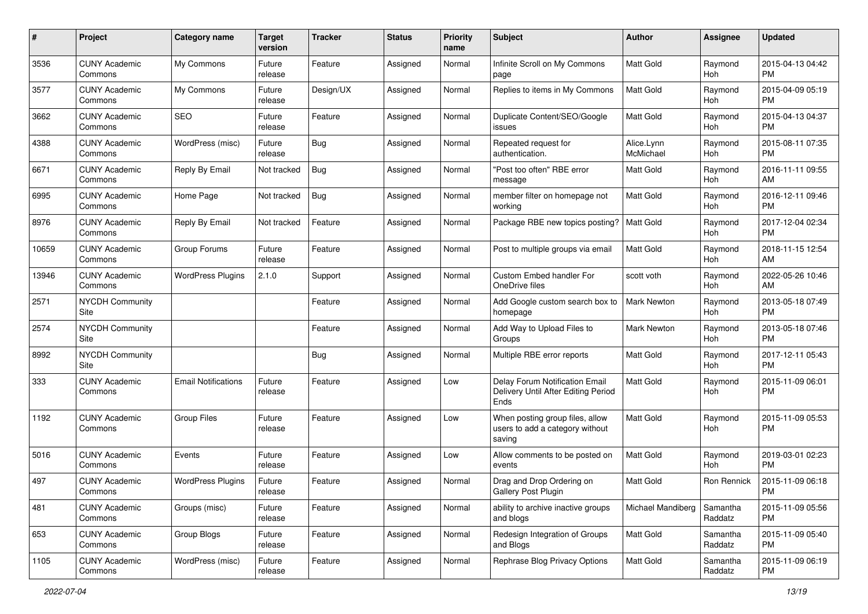| #     | Project                         | <b>Category name</b>       | <b>Target</b><br>version | <b>Tracker</b> | <b>Status</b> | <b>Priority</b><br>name | Subject                                                                       | Author                  | Assignee            | <b>Updated</b>                |
|-------|---------------------------------|----------------------------|--------------------------|----------------|---------------|-------------------------|-------------------------------------------------------------------------------|-------------------------|---------------------|-------------------------------|
| 3536  | <b>CUNY Academic</b><br>Commons | My Commons                 | Future<br>release        | Feature        | Assigned      | Normal                  | Infinite Scroll on My Commons<br>page                                         | Matt Gold               | Raymond<br>Hoh      | 2015-04-13 04:42<br><b>PM</b> |
| 3577  | <b>CUNY Academic</b><br>Commons | My Commons                 | Future<br>release        | Design/UX      | Assigned      | Normal                  | Replies to items in My Commons                                                | Matt Gold               | Raymond<br>Hoh      | 2015-04-09 05:19<br><b>PM</b> |
| 3662  | <b>CUNY Academic</b><br>Commons | SEO                        | Future<br>release        | Feature        | Assigned      | Normal                  | Duplicate Content/SEO/Google<br>issues                                        | <b>Matt Gold</b>        | Raymond<br>Hoh      | 2015-04-13 04:37<br><b>PM</b> |
| 4388  | <b>CUNY Academic</b><br>Commons | WordPress (misc)           | Future<br>release        | Bug            | Assigned      | Normal                  | Repeated request for<br>authentication.                                       | Alice.Lynn<br>McMichael | Raymond<br>Hoh      | 2015-08-11 07:35<br><b>PM</b> |
| 6671  | <b>CUNY Academic</b><br>Commons | Reply By Email             | Not tracked              | Bug            | Assigned      | Normal                  | "Post too often" RBE error<br>message                                         | <b>Matt Gold</b>        | Raymond<br>Hoh      | 2016-11-11 09:55<br>AM        |
| 6995  | <b>CUNY Academic</b><br>Commons | Home Page                  | Not tracked              | <b>Bug</b>     | Assigned      | Normal                  | member filter on homepage not<br>working                                      | Matt Gold               | Raymond<br>Hoh      | 2016-12-11 09:46<br><b>PM</b> |
| 8976  | <b>CUNY Academic</b><br>Commons | Reply By Email             | Not tracked              | Feature        | Assigned      | Normal                  | Package RBE new topics posting?                                               | <b>Matt Gold</b>        | Raymond<br>Hoh      | 2017-12-04 02:34<br><b>PM</b> |
| 10659 | <b>CUNY Academic</b><br>Commons | Group Forums               | Future<br>release        | Feature        | Assigned      | Normal                  | Post to multiple groups via email                                             | <b>Matt Gold</b>        | Raymond<br>Hoh      | 2018-11-15 12:54<br>AM        |
| 13946 | <b>CUNY Academic</b><br>Commons | <b>WordPress Plugins</b>   | 2.1.0                    | Support        | Assigned      | Normal                  | Custom Embed handler For<br>OneDrive files                                    | scott voth              | Raymond<br>Hoh      | 2022-05-26 10:46<br>AM        |
| 2571  | <b>NYCDH Community</b><br>Site  |                            |                          | Feature        | Assigned      | Normal                  | Add Google custom search box to<br>homepage                                   | Mark Newton             | Raymond<br>Hoh      | 2013-05-18 07:49<br><b>PM</b> |
| 2574  | <b>NYCDH Community</b><br>Site  |                            |                          | Feature        | Assigned      | Normal                  | Add Way to Upload Files to<br>Groups                                          | Mark Newton             | Raymond<br>Hoh      | 2013-05-18 07:46<br><b>PM</b> |
| 8992  | <b>NYCDH Community</b><br>Site  |                            |                          | Bug            | Assigned      | Normal                  | Multiple RBE error reports                                                    | Matt Gold               | Raymond<br>Hoh      | 2017-12-11 05:43<br><b>PM</b> |
| 333   | <b>CUNY Academic</b><br>Commons | <b>Email Notifications</b> | Future<br>release        | Feature        | Assigned      | Low                     | Delay Forum Notification Email<br>Delivery Until After Editing Period<br>Ends | <b>Matt Gold</b>        | Raymond<br>Hoh      | 2015-11-09 06:01<br><b>PM</b> |
| 1192  | <b>CUNY Academic</b><br>Commons | <b>Group Files</b>         | Future<br>release        | Feature        | Assigned      | Low                     | When posting group files, allow<br>users to add a category without<br>saving  | Matt Gold               | Raymond<br>Hoh      | 2015-11-09 05:53<br><b>PM</b> |
| 5016  | <b>CUNY Academic</b><br>Commons | Events                     | Future<br>release        | Feature        | Assigned      | Low                     | Allow comments to be posted on<br>events                                      | <b>Matt Gold</b>        | Raymond<br>Hoh      | 2019-03-01 02:23<br><b>PM</b> |
| 497   | <b>CUNY Academic</b><br>Commons | <b>WordPress Plugins</b>   | Future<br>release        | Feature        | Assigned      | Normal                  | Drag and Drop Ordering on<br>Gallery Post Plugin                              | <b>Matt Gold</b>        | Ron Rennick         | 2015-11-09 06:18<br>PM        |
| 481   | <b>CUNY Academic</b><br>Commons | Groups (misc)              | Future<br>release        | Feature        | Assigned      | Normal                  | ability to archive inactive groups<br>and blogs                               | Michael Mandiberg       | Samantha<br>Raddatz | 2015-11-09 05:56<br><b>PM</b> |
| 653   | <b>CUNY Academic</b><br>Commons | Group Blogs                | Future<br>release        | Feature        | Assigned      | Normal                  | Redesign Integration of Groups<br>and Blogs                                   | Matt Gold               | Samantha<br>Raddatz | 2015-11-09 05:40<br><b>PM</b> |
| 1105  | <b>CUNY Academic</b><br>Commons | WordPress (misc)           | Future<br>release        | Feature        | Assigned      | Normal                  | Rephrase Blog Privacy Options                                                 | Matt Gold               | Samantha<br>Raddatz | 2015-11-09 06:19<br><b>PM</b> |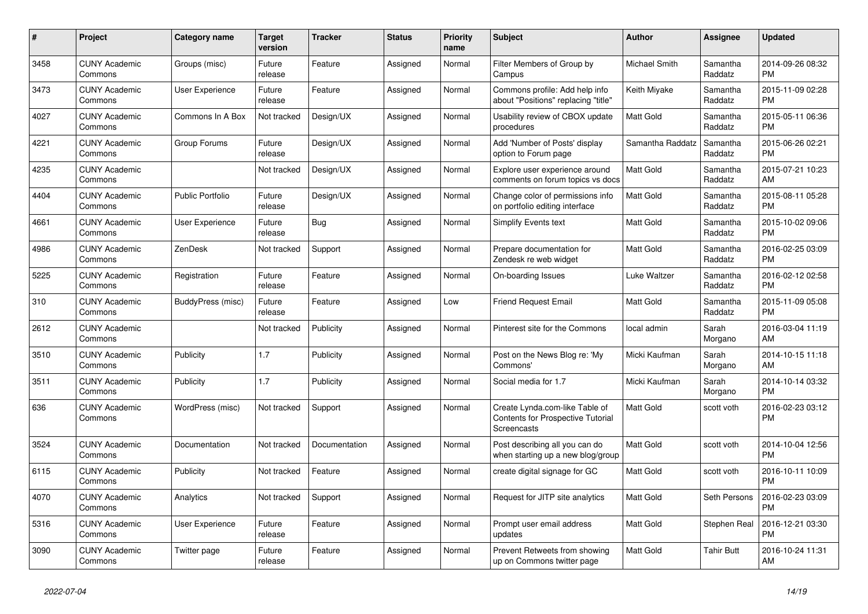| $\pmb{\#}$ | <b>Project</b>                  | <b>Category name</b>    | <b>Target</b><br>version | <b>Tracker</b> | <b>Status</b> | <b>Priority</b><br>name | <b>Subject</b>                                                                            | <b>Author</b>    | Assignee            | <b>Updated</b>                |
|------------|---------------------------------|-------------------------|--------------------------|----------------|---------------|-------------------------|-------------------------------------------------------------------------------------------|------------------|---------------------|-------------------------------|
| 3458       | <b>CUNY Academic</b><br>Commons | Groups (misc)           | Future<br>release        | Feature        | Assigned      | Normal                  | Filter Members of Group by<br>Campus                                                      | Michael Smith    | Samantha<br>Raddatz | 2014-09-26 08:32<br><b>PM</b> |
| 3473       | <b>CUNY Academic</b><br>Commons | User Experience         | Future<br>release        | Feature        | Assigned      | Normal                  | Commons profile: Add help info<br>about "Positions" replacing "title"                     | Keith Miyake     | Samantha<br>Raddatz | 2015-11-09 02:28<br><b>PM</b> |
| 4027       | <b>CUNY Academic</b><br>Commons | Commons In A Box        | Not tracked              | Design/UX      | Assigned      | Normal                  | Usability review of CBOX update<br>procedures                                             | Matt Gold        | Samantha<br>Raddatz | 2015-05-11 06:36<br><b>PM</b> |
| 4221       | <b>CUNY Academic</b><br>Commons | Group Forums            | Future<br>release        | Design/UX      | Assigned      | Normal                  | Add 'Number of Posts' display<br>option to Forum page                                     | Samantha Raddatz | Samantha<br>Raddatz | 2015-06-26 02:21<br><b>PM</b> |
| 4235       | <b>CUNY Academic</b><br>Commons |                         | Not tracked              | Design/UX      | Assigned      | Normal                  | Explore user experience around<br>comments on forum topics vs docs                        | <b>Matt Gold</b> | Samantha<br>Raddatz | 2015-07-21 10:23<br>AM        |
| 4404       | <b>CUNY Academic</b><br>Commons | <b>Public Portfolio</b> | Future<br>release        | Design/UX      | Assigned      | Normal                  | Change color of permissions info<br>on portfolio editing interface                        | Matt Gold        | Samantha<br>Raddatz | 2015-08-11 05:28<br><b>PM</b> |
| 4661       | <b>CUNY Academic</b><br>Commons | User Experience         | Future<br>release        | Bug            | Assigned      | Normal                  | <b>Simplify Events text</b>                                                               | <b>Matt Gold</b> | Samantha<br>Raddatz | 2015-10-02 09:06<br><b>PM</b> |
| 4986       | <b>CUNY Academic</b><br>Commons | <b>ZenDesk</b>          | Not tracked              | Support        | Assigned      | Normal                  | Prepare documentation for<br>Zendesk re web widget                                        | <b>Matt Gold</b> | Samantha<br>Raddatz | 2016-02-25 03:09<br><b>PM</b> |
| 5225       | <b>CUNY Academic</b><br>Commons | Registration            | Future<br>release        | Feature        | Assigned      | Normal                  | On-boarding Issues                                                                        | Luke Waltzer     | Samantha<br>Raddatz | 2016-02-12 02:58<br><b>PM</b> |
| 310        | <b>CUNY Academic</b><br>Commons | BuddyPress (misc)       | Future<br>release        | Feature        | Assigned      | Low                     | <b>Friend Request Email</b>                                                               | Matt Gold        | Samantha<br>Raddatz | 2015-11-09 05:08<br><b>PM</b> |
| 2612       | <b>CUNY Academic</b><br>Commons |                         | Not tracked              | Publicity      | Assigned      | Normal                  | Pinterest site for the Commons                                                            | local admin      | Sarah<br>Morgano    | 2016-03-04 11:19<br>AM        |
| 3510       | <b>CUNY Academic</b><br>Commons | Publicity               | 1.7                      | Publicity      | Assigned      | Normal                  | Post on the News Blog re: 'My<br>Commons'                                                 | Micki Kaufman    | Sarah<br>Morgano    | 2014-10-15 11:18<br>AM        |
| 3511       | <b>CUNY Academic</b><br>Commons | Publicity               | 1.7                      | Publicity      | Assigned      | Normal                  | Social media for 1.7                                                                      | Micki Kaufman    | Sarah<br>Morgano    | 2014-10-14 03:32<br><b>PM</b> |
| 636        | <b>CUNY Academic</b><br>Commons | WordPress (misc)        | Not tracked              | Support        | Assigned      | Normal                  | Create Lynda.com-like Table of<br>Contents for Prospective Tutorial<br><b>Screencasts</b> | <b>Matt Gold</b> | scott voth          | 2016-02-23 03:12<br><b>PM</b> |
| 3524       | <b>CUNY Academic</b><br>Commons | Documentation           | Not tracked              | Documentation  | Assigned      | Normal                  | Post describing all you can do<br>when starting up a new blog/group                       | Matt Gold        | scott voth          | 2014-10-04 12:56<br><b>PM</b> |
| 6115       | <b>CUNY Academic</b><br>Commons | Publicity               | Not tracked              | Feature        | Assigned      | Normal                  | create digital signage for GC                                                             | Matt Gold        | scott voth          | 2016-10-11 10:09<br><b>PM</b> |
| 4070       | <b>CUNY Academic</b><br>Commons | Analytics               | Not tracked              | Support        | Assigned      | Normal                  | Request for JITP site analytics                                                           | <b>Matt Gold</b> | Seth Persons        | 2016-02-23 03:09<br><b>PM</b> |
| 5316       | <b>CUNY Academic</b><br>Commons | User Experience         | Future<br>release        | Feature        | Assigned      | Normal                  | Prompt user email address<br>updates                                                      | Matt Gold        | Stephen Real        | 2016-12-21 03:30<br><b>PM</b> |
| 3090       | <b>CUNY Academic</b><br>Commons | Twitter page            | Future<br>release        | Feature        | Assigned      | Normal                  | Prevent Retweets from showing<br>up on Commons twitter page                               | Matt Gold        | Tahir Butt          | 2016-10-24 11:31<br>AM        |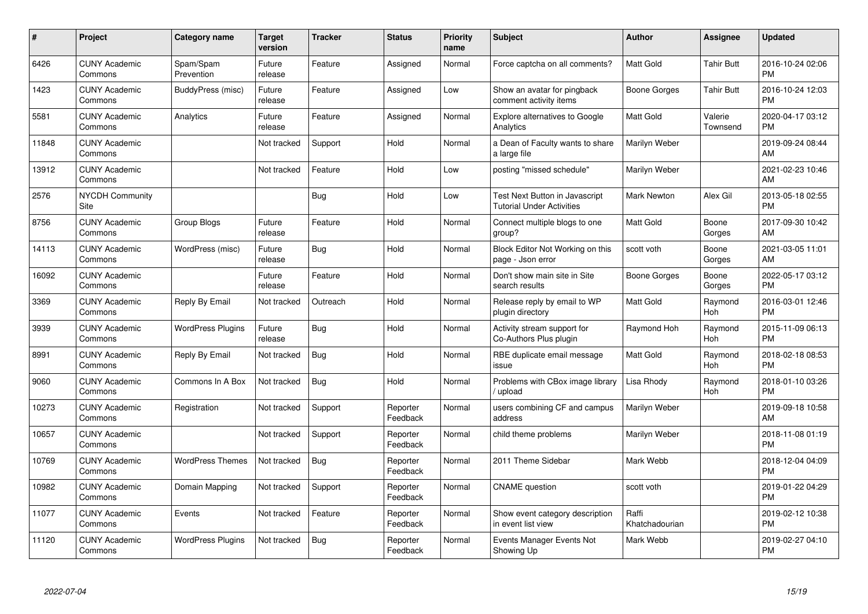| #     | <b>Project</b>                  | Category name            | <b>Target</b><br>version | <b>Tracker</b> | <b>Status</b>        | <b>Priority</b><br>name | <b>Subject</b>                                                     | <b>Author</b>           | Assignee            | <b>Updated</b>                |
|-------|---------------------------------|--------------------------|--------------------------|----------------|----------------------|-------------------------|--------------------------------------------------------------------|-------------------------|---------------------|-------------------------------|
| 6426  | <b>CUNY Academic</b><br>Commons | Spam/Spam<br>Prevention  | Future<br>release        | Feature        | Assigned             | Normal                  | Force captcha on all comments?                                     | <b>Matt Gold</b>        | <b>Tahir Butt</b>   | 2016-10-24 02:06<br><b>PM</b> |
| 1423  | <b>CUNY Academic</b><br>Commons | BuddyPress (misc)        | Future<br>release        | Feature        | Assigned             | Low                     | Show an avatar for pingback<br>comment activity items              | Boone Gorges            | Tahir Butt          | 2016-10-24 12:03<br><b>PM</b> |
| 5581  | <b>CUNY Academic</b><br>Commons | Analytics                | Future<br>release        | Feature        | Assigned             | Normal                  | Explore alternatives to Google<br>Analytics                        | <b>Matt Gold</b>        | Valerie<br>Townsend | 2020-04-17 03:12<br><b>PM</b> |
| 11848 | <b>CUNY Academic</b><br>Commons |                          | Not tracked              | Support        | Hold                 | Normal                  | a Dean of Faculty wants to share<br>a large file                   | Marilyn Weber           |                     | 2019-09-24 08:44<br>AM        |
| 13912 | <b>CUNY Academic</b><br>Commons |                          | Not tracked              | Feature        | Hold                 | Low                     | posting "missed schedule"                                          | Marilyn Weber           |                     | 2021-02-23 10:46<br>AM        |
| 2576  | NYCDH Community<br>Site         |                          |                          | Bug            | Hold                 | Low                     | Test Next Button in Javascript<br><b>Tutorial Under Activities</b> | <b>Mark Newton</b>      | Alex Gil            | 2013-05-18 02:55<br><b>PM</b> |
| 8756  | <b>CUNY Academic</b><br>Commons | Group Blogs              | Future<br>release        | Feature        | Hold                 | Normal                  | Connect multiple blogs to one<br>group?                            | <b>Matt Gold</b>        | Boone<br>Gorges     | 2017-09-30 10:42<br>AM        |
| 14113 | <b>CUNY Academic</b><br>Commons | WordPress (misc)         | Future<br>release        | Bug            | Hold                 | Normal                  | Block Editor Not Working on this<br>page - Json error              | scott voth              | Boone<br>Gorges     | 2021-03-05 11:01<br>AM        |
| 16092 | <b>CUNY Academic</b><br>Commons |                          | Future<br>release        | Feature        | Hold                 | Normal                  | Don't show main site in Site<br>search results                     | Boone Gorges            | Boone<br>Gorges     | 2022-05-17 03:12<br><b>PM</b> |
| 3369  | <b>CUNY Academic</b><br>Commons | Reply By Email           | Not tracked              | Outreach       | Hold                 | Normal                  | Release reply by email to WP<br>plugin directory                   | <b>Matt Gold</b>        | Raymond<br>Hoh      | 2016-03-01 12:46<br><b>PM</b> |
| 3939  | <b>CUNY Academic</b><br>Commons | <b>WordPress Plugins</b> | Future<br>release        | <b>Bug</b>     | Hold                 | Normal                  | Activity stream support for<br>Co-Authors Plus plugin              | Raymond Hoh             | Raymond<br>Hoh      | 2015-11-09 06:13<br><b>PM</b> |
| 8991  | <b>CUNY Academic</b><br>Commons | Reply By Email           | Not tracked              | Bug            | Hold                 | Normal                  | RBE duplicate email message<br>issue                               | <b>Matt Gold</b>        | Raymond<br>Hoh      | 2018-02-18 08:53<br><b>PM</b> |
| 9060  | <b>CUNY Academic</b><br>Commons | Commons In A Box         | Not tracked              | Bug            | Hold                 | Normal                  | Problems with CBox image library<br>upload                         | Lisa Rhody              | Raymond<br>Hoh      | 2018-01-10 03:26<br><b>PM</b> |
| 10273 | <b>CUNY Academic</b><br>Commons | Registration             | Not tracked              | Support        | Reporter<br>Feedback | Normal                  | users combining CF and campus<br>address                           | Marilyn Weber           |                     | 2019-09-18 10:58<br>AM        |
| 10657 | <b>CUNY Academic</b><br>Commons |                          | Not tracked              | Support        | Reporter<br>Feedback | Normal                  | child theme problems                                               | Marilyn Weber           |                     | 2018-11-08 01:19<br><b>PM</b> |
| 10769 | <b>CUNY Academic</b><br>Commons | <b>WordPress Themes</b>  | Not tracked              | <b>Bug</b>     | Reporter<br>Feedback | Normal                  | 2011 Theme Sidebar                                                 | Mark Webb               |                     | 2018-12-04 04:09<br><b>PM</b> |
| 10982 | <b>CUNY Academic</b><br>Commons | Domain Mapping           | Not tracked              | Support        | Reporter<br>Feedback | Normal                  | <b>CNAME</b> question                                              | scott voth              |                     | 2019-01-22 04:29<br><b>PM</b> |
| 11077 | <b>CUNY Academic</b><br>Commons | Events                   | Not tracked              | Feature        | Reporter<br>Feedback | Normal                  | Show event category description<br>in event list view              | Raffi<br>Khatchadourian |                     | 2019-02-12 10:38<br><b>PM</b> |
| 11120 | <b>CUNY Academic</b><br>Commons | <b>WordPress Plugins</b> | Not tracked              | <b>Bug</b>     | Reporter<br>Feedback | Normal                  | Events Manager Events Not<br>Showing Up                            | Mark Webb               |                     | 2019-02-27 04:10<br><b>PM</b> |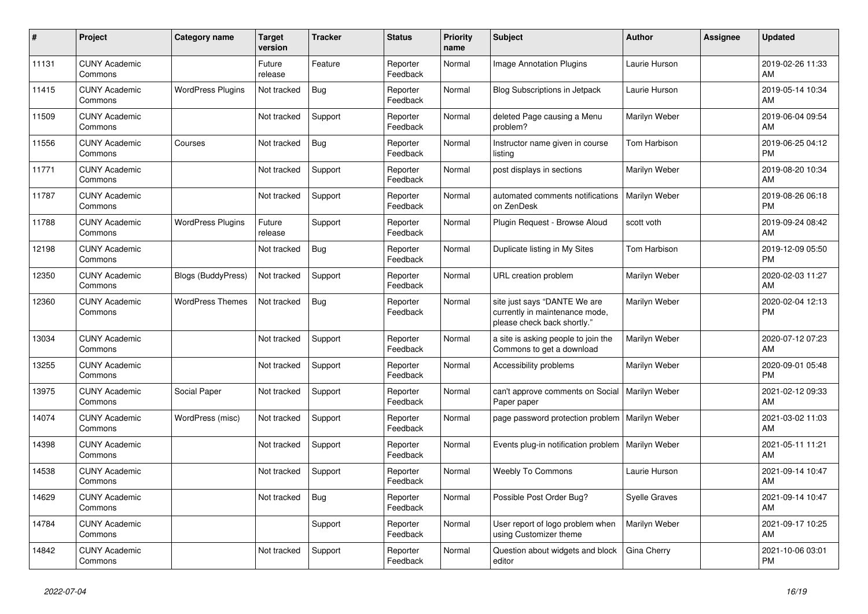| #     | Project                         | <b>Category name</b>      | <b>Target</b><br>version | <b>Tracker</b> | <b>Status</b>        | <b>Priority</b><br>name | <b>Subject</b>                                                                                | <b>Author</b>        | Assignee | <b>Updated</b>                |
|-------|---------------------------------|---------------------------|--------------------------|----------------|----------------------|-------------------------|-----------------------------------------------------------------------------------------------|----------------------|----------|-------------------------------|
| 11131 | <b>CUNY Academic</b><br>Commons |                           | Future<br>release        | Feature        | Reporter<br>Feedback | Normal                  | <b>Image Annotation Plugins</b>                                                               | Laurie Hurson        |          | 2019-02-26 11:33<br>AM        |
| 11415 | <b>CUNY Academic</b><br>Commons | <b>WordPress Plugins</b>  | Not tracked              | Bug            | Reporter<br>Feedback | Normal                  | Blog Subscriptions in Jetpack                                                                 | Laurie Hurson        |          | 2019-05-14 10:34<br>AM.       |
| 11509 | <b>CUNY Academic</b><br>Commons |                           | Not tracked              | Support        | Reporter<br>Feedback | Normal                  | deleted Page causing a Menu<br>problem?                                                       | Marilyn Weber        |          | 2019-06-04 09:54<br>AM        |
| 11556 | <b>CUNY Academic</b><br>Commons | Courses                   | Not tracked              | Bug            | Reporter<br>Feedback | Normal                  | Instructor name given in course<br>listing                                                    | Tom Harbison         |          | 2019-06-25 04:12<br><b>PM</b> |
| 11771 | <b>CUNY Academic</b><br>Commons |                           | Not tracked              | Support        | Reporter<br>Feedback | Normal                  | post displays in sections                                                                     | Marilyn Weber        |          | 2019-08-20 10:34<br><b>AM</b> |
| 11787 | <b>CUNY Academic</b><br>Commons |                           | Not tracked              | Support        | Reporter<br>Feedback | Normal                  | automated comments notifications<br>on ZenDesk                                                | Marilyn Weber        |          | 2019-08-26 06:18<br><b>PM</b> |
| 11788 | <b>CUNY Academic</b><br>Commons | <b>WordPress Plugins</b>  | Future<br>release        | Support        | Reporter<br>Feedback | Normal                  | Plugin Request - Browse Aloud                                                                 | scott voth           |          | 2019-09-24 08:42<br>AM        |
| 12198 | <b>CUNY Academic</b><br>Commons |                           | Not tracked              | <b>Bug</b>     | Reporter<br>Feedback | Normal                  | Duplicate listing in My Sites                                                                 | Tom Harbison         |          | 2019-12-09 05:50<br><b>PM</b> |
| 12350 | <b>CUNY Academic</b><br>Commons | <b>Blogs (BuddyPress)</b> | Not tracked              | Support        | Reporter<br>Feedback | Normal                  | URL creation problem                                                                          | Marilyn Weber        |          | 2020-02-03 11:27<br>AM        |
| 12360 | <b>CUNY Academic</b><br>Commons | <b>WordPress Themes</b>   | Not tracked              | <b>Bug</b>     | Reporter<br>Feedback | Normal                  | site just says "DANTE We are<br>currently in maintenance mode,<br>please check back shortly." | Marilyn Weber        |          | 2020-02-04 12:13<br>PM        |
| 13034 | <b>CUNY Academic</b><br>Commons |                           | Not tracked              | Support        | Reporter<br>Feedback | Normal                  | a site is asking people to join the<br>Commons to get a download                              | Marilyn Weber        |          | 2020-07-12 07:23<br><b>AM</b> |
| 13255 | <b>CUNY Academic</b><br>Commons |                           | Not tracked              | Support        | Reporter<br>Feedback | Normal                  | Accessibility problems                                                                        | Marilyn Weber        |          | 2020-09-01 05:48<br><b>PM</b> |
| 13975 | <b>CUNY Academic</b><br>Commons | Social Paper              | Not tracked              | Support        | Reporter<br>Feedback | Normal                  | can't approve comments on Social<br>Paper paper                                               | Marilyn Weber        |          | 2021-02-12 09:33<br>AM        |
| 14074 | <b>CUNY Academic</b><br>Commons | WordPress (misc)          | Not tracked              | Support        | Reporter<br>Feedback | Normal                  | page password protection problem                                                              | Marilyn Weber        |          | 2021-03-02 11:03<br><b>AM</b> |
| 14398 | <b>CUNY Academic</b><br>Commons |                           | Not tracked              | Support        | Reporter<br>Feedback | Normal                  | Events plug-in notification problem                                                           | Marilyn Weber        |          | 2021-05-11 11:21<br>AM        |
| 14538 | <b>CUNY Academic</b><br>Commons |                           | Not tracked              | Support        | Reporter<br>Feedback | Normal                  | <b>Weebly To Commons</b>                                                                      | Laurie Hurson        |          | 2021-09-14 10:47<br><b>AM</b> |
| 14629 | <b>CUNY Academic</b><br>Commons |                           | Not tracked              | Bug            | Reporter<br>Feedback | Normal                  | Possible Post Order Bug?                                                                      | <b>Syelle Graves</b> |          | 2021-09-14 10:47<br><b>AM</b> |
| 14784 | <b>CUNY Academic</b><br>Commons |                           |                          | Support        | Reporter<br>Feedback | Normal                  | User report of logo problem when<br>using Customizer theme                                    | Marilyn Weber        |          | 2021-09-17 10:25<br>AM        |
| 14842 | <b>CUNY Academic</b><br>Commons |                           | Not tracked              | Support        | Reporter<br>Feedback | Normal                  | Question about widgets and block<br>editor                                                    | Gina Cherry          |          | 2021-10-06 03:01<br>PM        |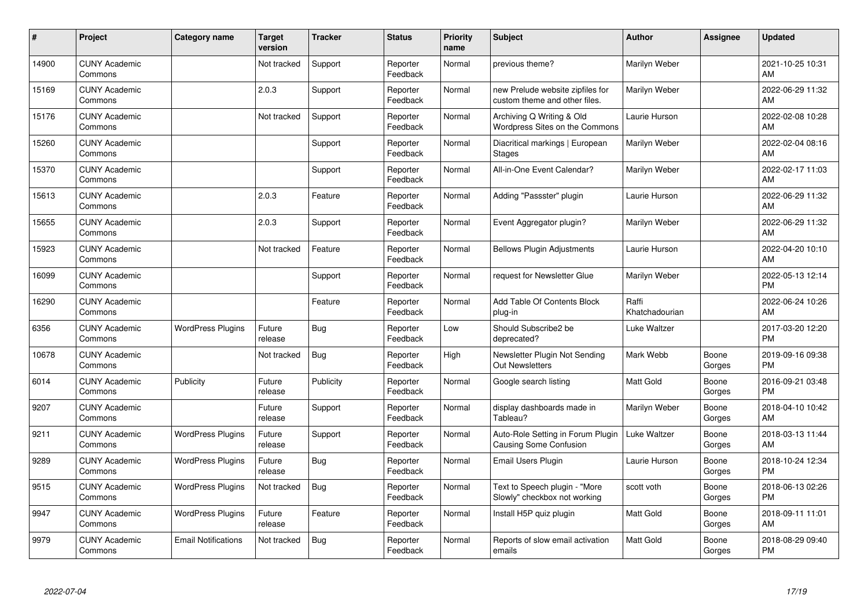| ∦     | Project                         | Category name              | <b>Target</b><br>version | <b>Tracker</b> | <b>Status</b>        | <b>Priority</b><br>name | <b>Subject</b>                                                     | <b>Author</b>           | <b>Assignee</b> | <b>Updated</b>                |
|-------|---------------------------------|----------------------------|--------------------------|----------------|----------------------|-------------------------|--------------------------------------------------------------------|-------------------------|-----------------|-------------------------------|
| 14900 | <b>CUNY Academic</b><br>Commons |                            | Not tracked              | Support        | Reporter<br>Feedback | Normal                  | previous theme?                                                    | Marilyn Weber           |                 | 2021-10-25 10:31<br>AM        |
| 15169 | <b>CUNY Academic</b><br>Commons |                            | 2.0.3                    | Support        | Reporter<br>Feedback | Normal                  | new Prelude website zipfiles for<br>custom theme and other files.  | Marilyn Weber           |                 | 2022-06-29 11:32<br>AM        |
| 15176 | <b>CUNY Academic</b><br>Commons |                            | Not tracked              | Support        | Reporter<br>Feedback | Normal                  | Archiving Q Writing & Old<br>Wordpress Sites on the Commons        | Laurie Hurson           |                 | 2022-02-08 10:28<br>AM        |
| 15260 | <b>CUNY Academic</b><br>Commons |                            |                          | Support        | Reporter<br>Feedback | Normal                  | Diacritical markings   European<br><b>Stages</b>                   | Marilyn Weber           |                 | 2022-02-04 08:16<br>AM        |
| 15370 | <b>CUNY Academic</b><br>Commons |                            |                          | Support        | Reporter<br>Feedback | Normal                  | All-in-One Event Calendar?                                         | Marilyn Weber           |                 | 2022-02-17 11:03<br>AM        |
| 15613 | <b>CUNY Academic</b><br>Commons |                            | 2.0.3                    | Feature        | Reporter<br>Feedback | Normal                  | Adding "Passster" plugin                                           | Laurie Hurson           |                 | 2022-06-29 11:32<br>AM        |
| 15655 | <b>CUNY Academic</b><br>Commons |                            | 2.0.3                    | Support        | Reporter<br>Feedback | Normal                  | Event Aggregator plugin?                                           | Marilyn Weber           |                 | 2022-06-29 11:32<br>AM        |
| 15923 | <b>CUNY Academic</b><br>Commons |                            | Not tracked              | Feature        | Reporter<br>Feedback | Normal                  | <b>Bellows Plugin Adjustments</b>                                  | Laurie Hurson           |                 | 2022-04-20 10:10<br>AM        |
| 16099 | <b>CUNY Academic</b><br>Commons |                            |                          | Support        | Reporter<br>Feedback | Normal                  | request for Newsletter Glue                                        | Marilyn Weber           |                 | 2022-05-13 12:14<br><b>PM</b> |
| 16290 | <b>CUNY Academic</b><br>Commons |                            |                          | Feature        | Reporter<br>Feedback | Normal                  | Add Table Of Contents Block<br>plug-in                             | Raffi<br>Khatchadourian |                 | 2022-06-24 10:26<br>AM        |
| 6356  | <b>CUNY Academic</b><br>Commons | <b>WordPress Plugins</b>   | Future<br>release        | <b>Bug</b>     | Reporter<br>Feedback | Low                     | Should Subscribe2 be<br>deprecated?                                | Luke Waltzer            |                 | 2017-03-20 12:20<br><b>PM</b> |
| 10678 | <b>CUNY Academic</b><br>Commons |                            | Not tracked              | <b>Bug</b>     | Reporter<br>Feedback | High                    | Newsletter Plugin Not Sending<br><b>Out Newsletters</b>            | Mark Webb               | Boone<br>Gorges | 2019-09-16 09:38<br><b>PM</b> |
| 6014  | <b>CUNY Academic</b><br>Commons | Publicity                  | Future<br>release        | Publicity      | Reporter<br>Feedback | Normal                  | Google search listing                                              | <b>Matt Gold</b>        | Boone<br>Gorges | 2016-09-21 03:48<br><b>PM</b> |
| 9207  | <b>CUNY Academic</b><br>Commons |                            | Future<br>release        | Support        | Reporter<br>Feedback | Normal                  | display dashboards made in<br>Tableau?                             | Marilyn Weber           | Boone<br>Gorges | 2018-04-10 10:42<br>AM        |
| 9211  | <b>CUNY Academic</b><br>Commons | <b>WordPress Plugins</b>   | Future<br>release        | Support        | Reporter<br>Feedback | Normal                  | Auto-Role Setting in Forum Plugin<br><b>Causing Some Confusion</b> | Luke Waltzer            | Boone<br>Gorges | 2018-03-13 11:44<br>AM        |
| 9289  | <b>CUNY Academic</b><br>Commons | <b>WordPress Plugins</b>   | Future<br>release        | Bug            | Reporter<br>Feedback | Normal                  | Email Users Plugin                                                 | Laurie Hurson           | Boone<br>Gorges | 2018-10-24 12:34<br><b>PM</b> |
| 9515  | <b>CUNY Academic</b><br>Commons | <b>WordPress Plugins</b>   | Not tracked              | Bug            | Reporter<br>Feedback | Normal                  | Text to Speech plugin - "More<br>Slowly" checkbox not working      | scott voth              | Boone<br>Gorges | 2018-06-13 02:26<br><b>PM</b> |
| 9947  | <b>CUNY Academic</b><br>Commons | <b>WordPress Plugins</b>   | Future<br>release        | Feature        | Reporter<br>Feedback | Normal                  | Install H5P quiz plugin                                            | Matt Gold               | Boone<br>Gorges | 2018-09-11 11:01<br>AM        |
| 9979  | <b>CUNY Academic</b><br>Commons | <b>Email Notifications</b> | Not tracked              | <b>Bug</b>     | Reporter<br>Feedback | Normal                  | Reports of slow email activation<br>emails                         | Matt Gold               | Boone<br>Gorges | 2018-08-29 09:40<br>PM        |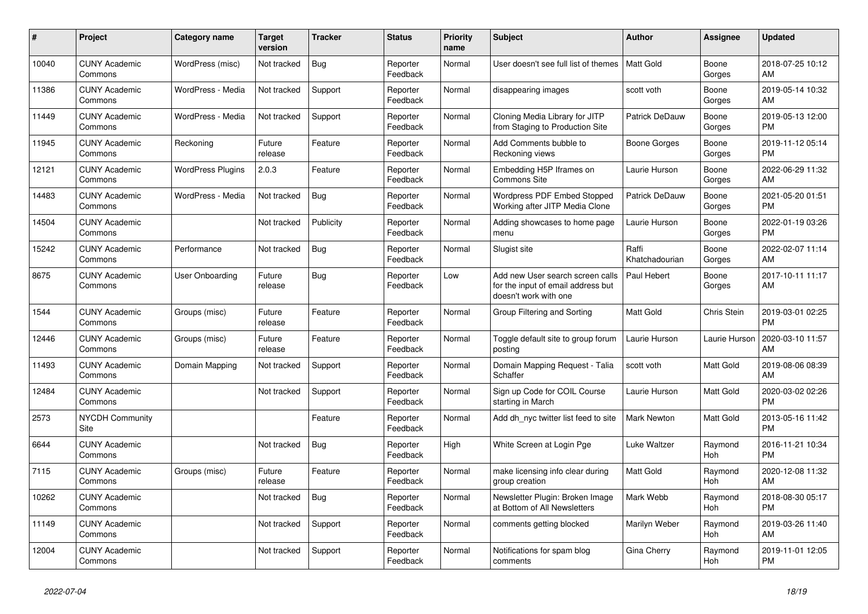| #     | Project                         | <b>Category name</b>     | <b>Target</b><br>version | <b>Tracker</b> | <b>Status</b>        | <b>Priority</b><br>name | <b>Subject</b>                                                                                  | <b>Author</b>           | <b>Assignee</b> | <b>Updated</b>                |
|-------|---------------------------------|--------------------------|--------------------------|----------------|----------------------|-------------------------|-------------------------------------------------------------------------------------------------|-------------------------|-----------------|-------------------------------|
| 10040 | <b>CUNY Academic</b><br>Commons | WordPress (misc)         | Not tracked              | Bug            | Reporter<br>Feedback | Normal                  | User doesn't see full list of themes                                                            | l Matt Gold             | Boone<br>Gorges | 2018-07-25 10:12<br>AM        |
| 11386 | <b>CUNY Academic</b><br>Commons | WordPress - Media        | Not tracked              | Support        | Reporter<br>Feedback | Normal                  | disappearing images                                                                             | scott voth              | Boone<br>Gorges | 2019-05-14 10:32<br>AM        |
| 11449 | <b>CUNY Academic</b><br>Commons | WordPress - Media        | Not tracked              | Support        | Reporter<br>Feedback | Normal                  | Cloning Media Library for JITP<br>from Staging to Production Site                               | Patrick DeDauw          | Boone<br>Gorges | 2019-05-13 12:00<br><b>PM</b> |
| 11945 | <b>CUNY Academic</b><br>Commons | Reckoning                | Future<br>release        | Feature        | Reporter<br>Feedback | Normal                  | Add Comments bubble to<br>Reckoning views                                                       | <b>Boone Gorges</b>     | Boone<br>Gorges | 2019-11-12 05:14<br><b>PM</b> |
| 12121 | <b>CUNY Academic</b><br>Commons | <b>WordPress Plugins</b> | 2.0.3                    | Feature        | Reporter<br>Feedback | Normal                  | Embedding H5P Iframes on<br><b>Commons Site</b>                                                 | Laurie Hurson           | Boone<br>Gorges | 2022-06-29 11:32<br>AM        |
| 14483 | <b>CUNY Academic</b><br>Commons | WordPress - Media        | Not tracked              | Bug            | Reporter<br>Feedback | Normal                  | Wordpress PDF Embed Stopped<br>Working after JITP Media Clone                                   | Patrick DeDauw          | Boone<br>Gorges | 2021-05-20 01:51<br><b>PM</b> |
| 14504 | <b>CUNY Academic</b><br>Commons |                          | Not tracked              | Publicity      | Reporter<br>Feedback | Normal                  | Adding showcases to home page<br>menu                                                           | Laurie Hurson           | Boone<br>Gorges | 2022-01-19 03:26<br><b>PM</b> |
| 15242 | <b>CUNY Academic</b><br>Commons | Performance              | Not tracked              | <b>Bug</b>     | Reporter<br>Feedback | Normal                  | Slugist site                                                                                    | Raffi<br>Khatchadourian | Boone<br>Gorges | 2022-02-07 11:14<br>AM        |
| 8675  | <b>CUNY Academic</b><br>Commons | User Onboarding          | Future<br>release        | Bug            | Reporter<br>Feedback | Low                     | Add new User search screen calls<br>for the input of email address but<br>doesn't work with one | Paul Hebert             | Boone<br>Gorges | 2017-10-11 11:17<br>AM        |
| 1544  | <b>CUNY Academic</b><br>Commons | Groups (misc)            | Future<br>release        | Feature        | Reporter<br>Feedback | Normal                  | Group Filtering and Sorting                                                                     | <b>Matt Gold</b>        | Chris Stein     | 2019-03-01 02:25<br><b>PM</b> |
| 12446 | <b>CUNY Academic</b><br>Commons | Groups (misc)            | Future<br>release        | Feature        | Reporter<br>Feedback | Normal                  | Toggle default site to group forum<br>posting                                                   | Laurie Hurson           | Laurie Hurson   | 2020-03-10 11:57<br>AM        |
| 11493 | <b>CUNY Academic</b><br>Commons | Domain Mapping           | Not tracked              | Support        | Reporter<br>Feedback | Normal                  | Domain Mapping Request - Talia<br>Schaffer                                                      | scott voth              | Matt Gold       | 2019-08-06 08:39<br>AM        |
| 12484 | <b>CUNY Academic</b><br>Commons |                          | Not tracked              | Support        | Reporter<br>Feedback | Normal                  | Sign up Code for COIL Course<br>starting in March                                               | Laurie Hurson           | Matt Gold       | 2020-03-02 02:26<br><b>PM</b> |
| 2573  | <b>NYCDH Community</b><br>Site  |                          |                          | Feature        | Reporter<br>Feedback | Normal                  | Add dh nyc twitter list feed to site                                                            | Mark Newton             | Matt Gold       | 2013-05-16 11:42<br><b>PM</b> |
| 6644  | <b>CUNY Academic</b><br>Commons |                          | Not tracked              | <b>Bug</b>     | Reporter<br>Feedback | High                    | White Screen at Login Pge                                                                       | Luke Waltzer            | Raymond<br>Hoh  | 2016-11-21 10:34<br><b>PM</b> |
| 7115  | <b>CUNY Academic</b><br>Commons | Groups (misc)            | Future<br>release        | Feature        | Reporter<br>Feedback | Normal                  | make licensing info clear during<br>group creation                                              | <b>Matt Gold</b>        | Raymond<br>Hoh  | 2020-12-08 11:32<br>AM        |
| 10262 | <b>CUNY Academic</b><br>Commons |                          | Not tracked              | Bug            | Reporter<br>Feedback | Normal                  | Newsletter Plugin: Broken Image<br>at Bottom of All Newsletters                                 | Mark Webb               | Raymond<br>Hoh  | 2018-08-30 05:17<br><b>PM</b> |
| 11149 | <b>CUNY Academic</b><br>Commons |                          | Not tracked              | Support        | Reporter<br>Feedback | Normal                  | comments getting blocked                                                                        | Marilyn Weber           | Raymond<br>Hoh  | 2019-03-26 11:40<br>AM        |
| 12004 | <b>CUNY Academic</b><br>Commons |                          | Not tracked              | Support        | Reporter<br>Feedback | Normal                  | Notifications for spam blog<br>comments                                                         | Gina Cherry             | Raymond<br>Hoh  | 2019-11-01 12:05<br><b>PM</b> |